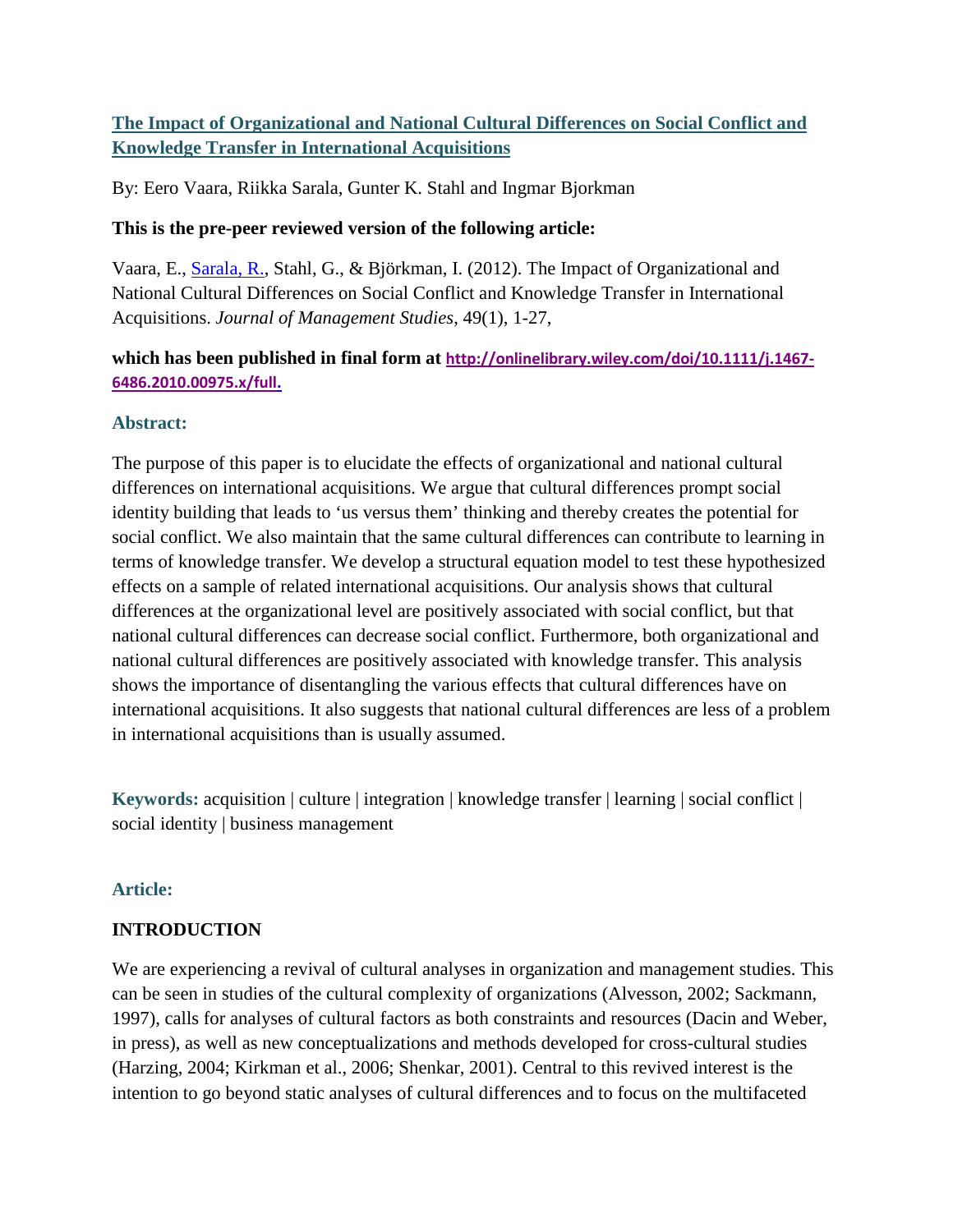# **The Impact of Organizational and National Cultural Differences on Social Conflict and Knowledge Transfer in International Acquisitions**

By: Eero Vaara, Riikka Sarala, Gunter K. Stahl and Ingmar Bjorkman

## **This is the pre-peer reviewed version of the following article:**

Vaara, E., [Sarala, R.,](http://libres.uncg.edu/ir/clist.aspx?id=3981) Stahl, G., & Björkman, I. (2012). The Impact of Organizational and National Cultural Differences on Social Conflict and Knowledge Transfer in International Acquisitions. *Journal of Management Studies*, 49(1), 1-27,

# **which has been published in final form at [http://onlinelibrary.wiley.com/doi/10.1111/j.1467-](http://onlinelibrary.wiley.com/doi/10.1111/j.1467-6486.2010.00975.x/full) [6486.2010.00975.x/full.](http://onlinelibrary.wiley.com/doi/10.1111/j.1467-6486.2010.00975.x/full)**

## **Abstract:**

The purpose of this paper is to elucidate the effects of organizational and national cultural differences on international acquisitions. We argue that cultural differences prompt social identity building that leads to 'us versus them' thinking and thereby creates the potential for social conflict. We also maintain that the same cultural differences can contribute to learning in terms of knowledge transfer. We develop a structural equation model to test these hypothesized effects on a sample of related international acquisitions. Our analysis shows that cultural differences at the organizational level are positively associated with social conflict, but that national cultural differences can decrease social conflict. Furthermore, both organizational and national cultural differences are positively associated with knowledge transfer. This analysis shows the importance of disentangling the various effects that cultural differences have on international acquisitions. It also suggests that national cultural differences are less of a problem in international acquisitions than is usually assumed.

**Keywords:** acquisition | culture | integration | knowledge transfer | learning | social conflict | social identity | business management

## **Article:**

## **INTRODUCTION**

We are experiencing a revival of cultural analyses in organization and management studies. This can be seen in studies of the cultural complexity of organizations (Alvesson, 2002; Sackmann, 1997), calls for analyses of cultural factors as both constraints and resources (Dacin and Weber, in press), as well as new conceptualizations and methods developed for cross-cultural studies (Harzing, 2004; Kirkman et al., 2006; Shenkar, 2001). Central to this revived interest is the intention to go beyond static analyses of cultural differences and to focus on the multifaceted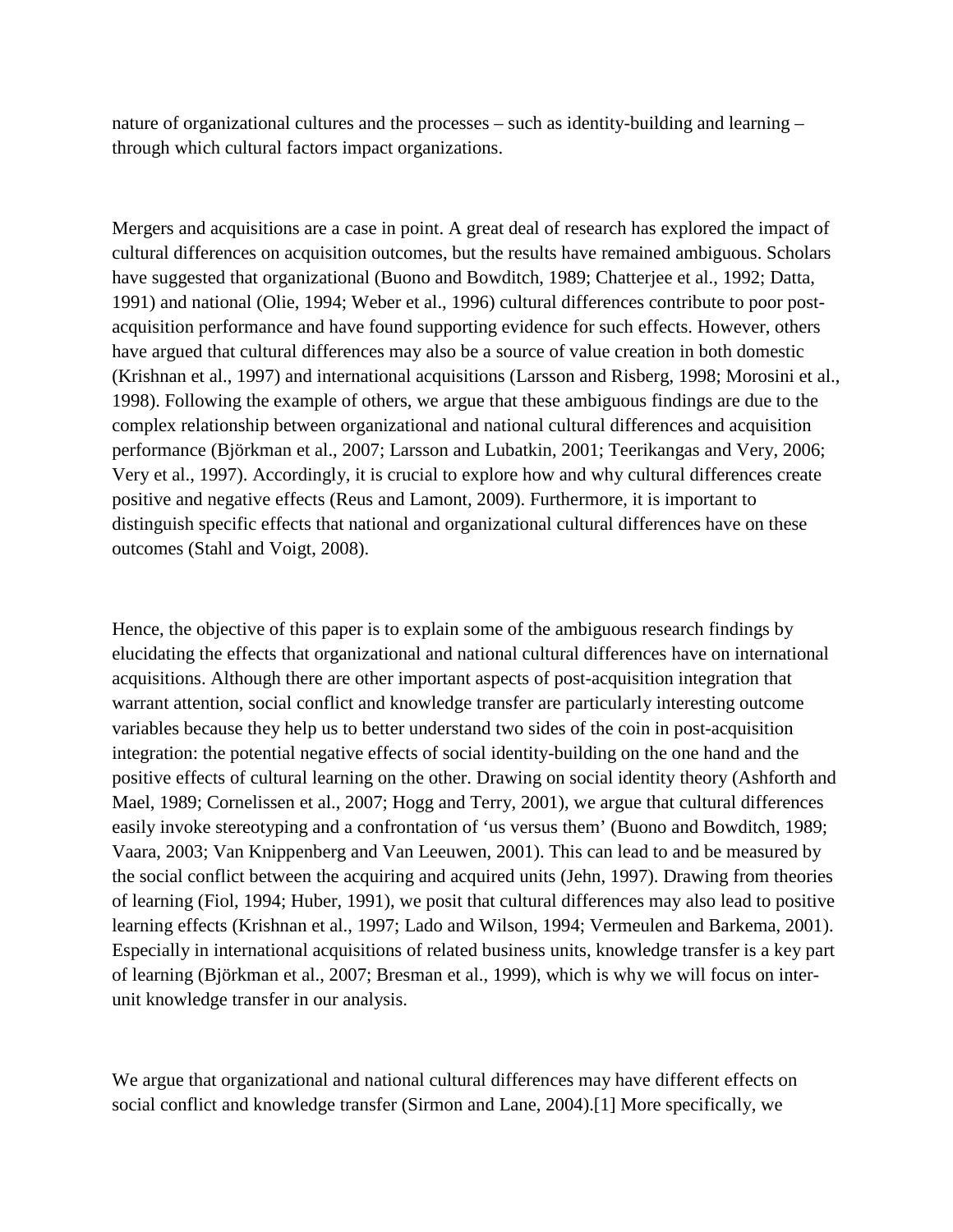nature of organizational cultures and the processes – such as identity-building and learning – through which cultural factors impact organizations.

Mergers and acquisitions are a case in point. A great deal of research has explored the impact of cultural differences on acquisition outcomes, but the results have remained ambiguous. Scholars have suggested that organizational (Buono and Bowditch, 1989; Chatterjee et al., 1992; Datta, 1991) and national (Olie, 1994; Weber et al., 1996) cultural differences contribute to poor postacquisition performance and have found supporting evidence for such effects. However, others have argued that cultural differences may also be a source of value creation in both domestic (Krishnan et al., 1997) and international acquisitions (Larsson and Risberg, 1998; Morosini et al., 1998). Following the example of others, we argue that these ambiguous findings are due to the complex relationship between organizational and national cultural differences and acquisition performance (Björkman et al., 2007; Larsson and Lubatkin, 2001; Teerikangas and Very, 2006; Very et al., 1997). Accordingly, it is crucial to explore how and why cultural differences create positive and negative effects (Reus and Lamont, 2009). Furthermore, it is important to distinguish specific effects that national and organizational cultural differences have on these outcomes (Stahl and Voigt, 2008).

Hence, the objective of this paper is to explain some of the ambiguous research findings by elucidating the effects that organizational and national cultural differences have on international acquisitions. Although there are other important aspects of post-acquisition integration that warrant attention, social conflict and knowledge transfer are particularly interesting outcome variables because they help us to better understand two sides of the coin in post-acquisition integration: the potential negative effects of social identity-building on the one hand and the positive effects of cultural learning on the other. Drawing on social identity theory (Ashforth and Mael, 1989; Cornelissen et al., 2007; Hogg and Terry, 2001), we argue that cultural differences easily invoke stereotyping and a confrontation of 'us versus them' (Buono and Bowditch, 1989; Vaara, 2003; Van Knippenberg and Van Leeuwen, 2001). This can lead to and be measured by the social conflict between the acquiring and acquired units (Jehn, 1997). Drawing from theories of learning (Fiol, 1994; Huber, 1991), we posit that cultural differences may also lead to positive learning effects (Krishnan et al., 1997; Lado and Wilson, 1994; Vermeulen and Barkema, 2001). Especially in international acquisitions of related business units, knowledge transfer is a key part of learning (Björkman et al., 2007; Bresman et al., 1999), which is why we will focus on interunit knowledge transfer in our analysis.

We argue that organizational and national cultural differences may have different effects on social conflict and knowledge transfer (Sirmon and Lane, 2004).[1] More specifically, we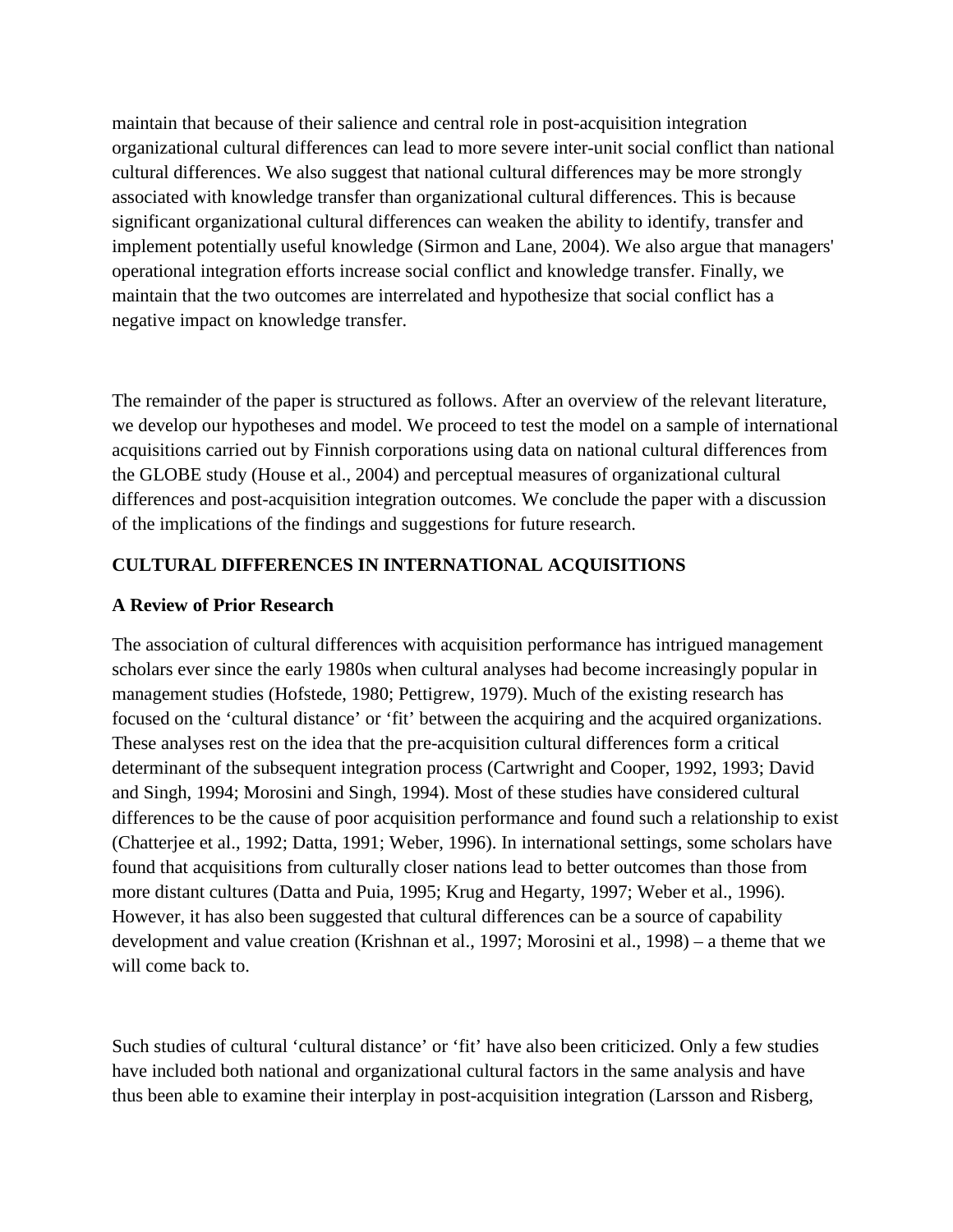maintain that because of their salience and central role in post-acquisition integration organizational cultural differences can lead to more severe inter-unit social conflict than national cultural differences. We also suggest that national cultural differences may be more strongly associated with knowledge transfer than organizational cultural differences. This is because significant organizational cultural differences can weaken the ability to identify, transfer and implement potentially useful knowledge (Sirmon and Lane, 2004). We also argue that managers' operational integration efforts increase social conflict and knowledge transfer. Finally, we maintain that the two outcomes are interrelated and hypothesize that social conflict has a negative impact on knowledge transfer.

The remainder of the paper is structured as follows. After an overview of the relevant literature, we develop our hypotheses and model. We proceed to test the model on a sample of international acquisitions carried out by Finnish corporations using data on national cultural differences from the GLOBE study (House et al., 2004) and perceptual measures of organizational cultural differences and post-acquisition integration outcomes. We conclude the paper with a discussion of the implications of the findings and suggestions for future research.

### **CULTURAL DIFFERENCES IN INTERNATIONAL ACQUISITIONS**

#### **A Review of Prior Research**

The association of cultural differences with acquisition performance has intrigued management scholars ever since the early 1980s when cultural analyses had become increasingly popular in management studies (Hofstede, 1980; Pettigrew, 1979). Much of the existing research has focused on the 'cultural distance' or 'fit' between the acquiring and the acquired organizations. These analyses rest on the idea that the pre-acquisition cultural differences form a critical determinant of the subsequent integration process (Cartwright and Cooper, 1992, 1993; David and Singh, 1994; Morosini and Singh, 1994). Most of these studies have considered cultural differences to be the cause of poor acquisition performance and found such a relationship to exist (Chatterjee et al., 1992; Datta, 1991; Weber, 1996). In international settings, some scholars have found that acquisitions from culturally closer nations lead to better outcomes than those from more distant cultures (Datta and Puia, 1995; Krug and Hegarty, 1997; Weber et al., 1996). However, it has also been suggested that cultural differences can be a source of capability development and value creation (Krishnan et al., 1997; Morosini et al., 1998) – a theme that we will come back to.

Such studies of cultural 'cultural distance' or 'fit' have also been criticized. Only a few studies have included both national and organizational cultural factors in the same analysis and have thus been able to examine their interplay in post-acquisition integration (Larsson and Risberg,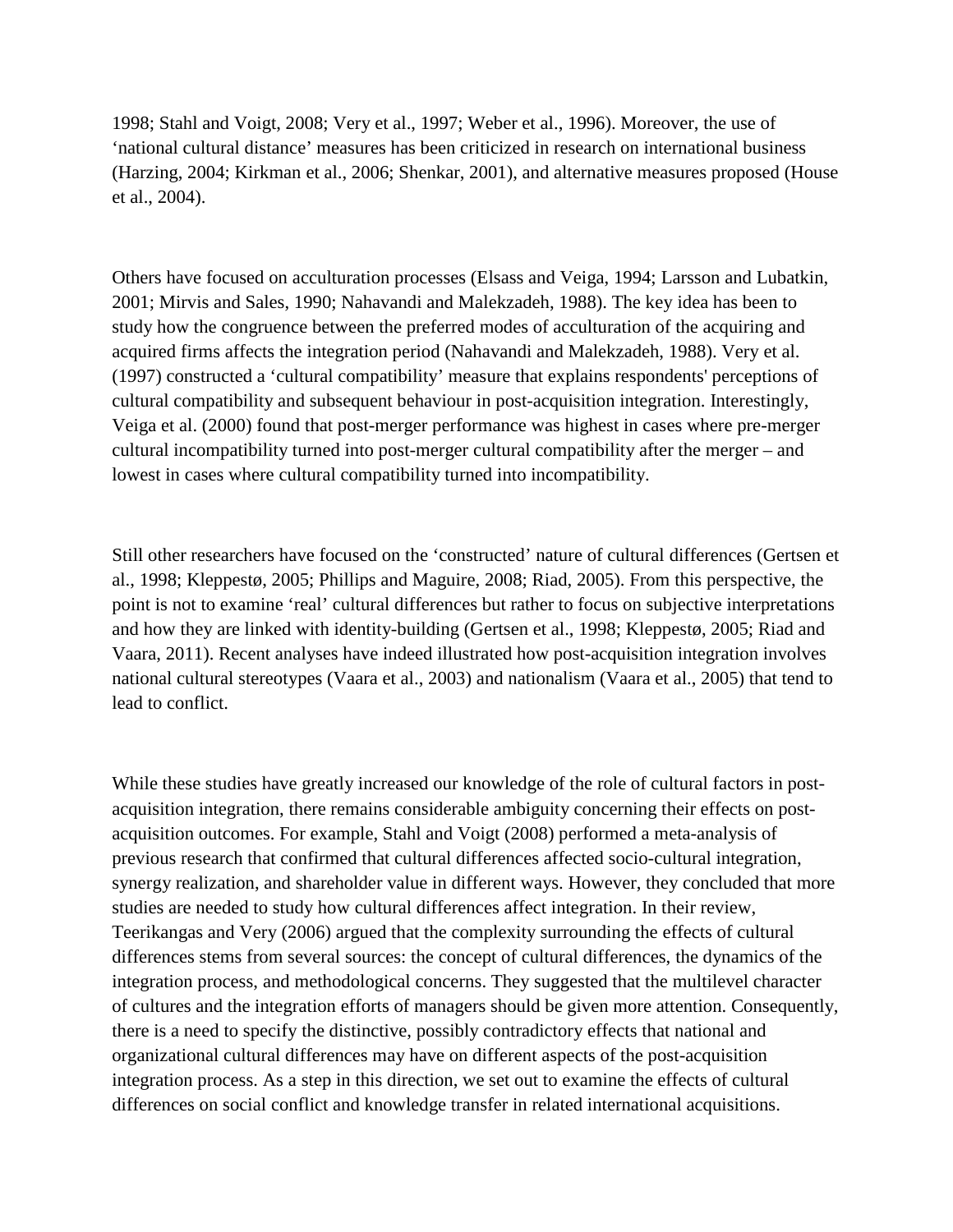1998; Stahl and Voigt, 2008; Very et al., 1997; Weber et al., 1996). Moreover, the use of 'national cultural distance' measures has been criticized in research on international business (Harzing, 2004; Kirkman et al., 2006; Shenkar, 2001), and alternative measures proposed (House et al., 2004).

Others have focused on acculturation processes (Elsass and Veiga, 1994; Larsson and Lubatkin, 2001; Mirvis and Sales, 1990; Nahavandi and Malekzadeh, 1988). The key idea has been to study how the congruence between the preferred modes of acculturation of the acquiring and acquired firms affects the integration period (Nahavandi and Malekzadeh, 1988). Very et al. (1997) constructed a 'cultural compatibility' measure that explains respondents' perceptions of cultural compatibility and subsequent behaviour in post-acquisition integration. Interestingly, Veiga et al. (2000) found that post-merger performance was highest in cases where pre-merger cultural incompatibility turned into post-merger cultural compatibility after the merger – and lowest in cases where cultural compatibility turned into incompatibility.

Still other researchers have focused on the 'constructed' nature of cultural differences (Gertsen et al., 1998; Kleppestø, 2005; Phillips and Maguire, 2008; Riad, 2005). From this perspective, the point is not to examine 'real' cultural differences but rather to focus on subjective interpretations and how they are linked with identity-building (Gertsen et al., 1998; Kleppestø, 2005; Riad and Vaara, 2011). Recent analyses have indeed illustrated how post-acquisition integration involves national cultural stereotypes (Vaara et al., 2003) and nationalism (Vaara et al., 2005) that tend to lead to conflict.

While these studies have greatly increased our knowledge of the role of cultural factors in postacquisition integration, there remains considerable ambiguity concerning their effects on postacquisition outcomes. For example, Stahl and Voigt (2008) performed a meta-analysis of previous research that confirmed that cultural differences affected socio-cultural integration, synergy realization, and shareholder value in different ways. However, they concluded that more studies are needed to study how cultural differences affect integration. In their review, Teerikangas and Very (2006) argued that the complexity surrounding the effects of cultural differences stems from several sources: the concept of cultural differences, the dynamics of the integration process, and methodological concerns. They suggested that the multilevel character of cultures and the integration efforts of managers should be given more attention. Consequently, there is a need to specify the distinctive, possibly contradictory effects that national and organizational cultural differences may have on different aspects of the post-acquisition integration process. As a step in this direction, we set out to examine the effects of cultural differences on social conflict and knowledge transfer in related international acquisitions.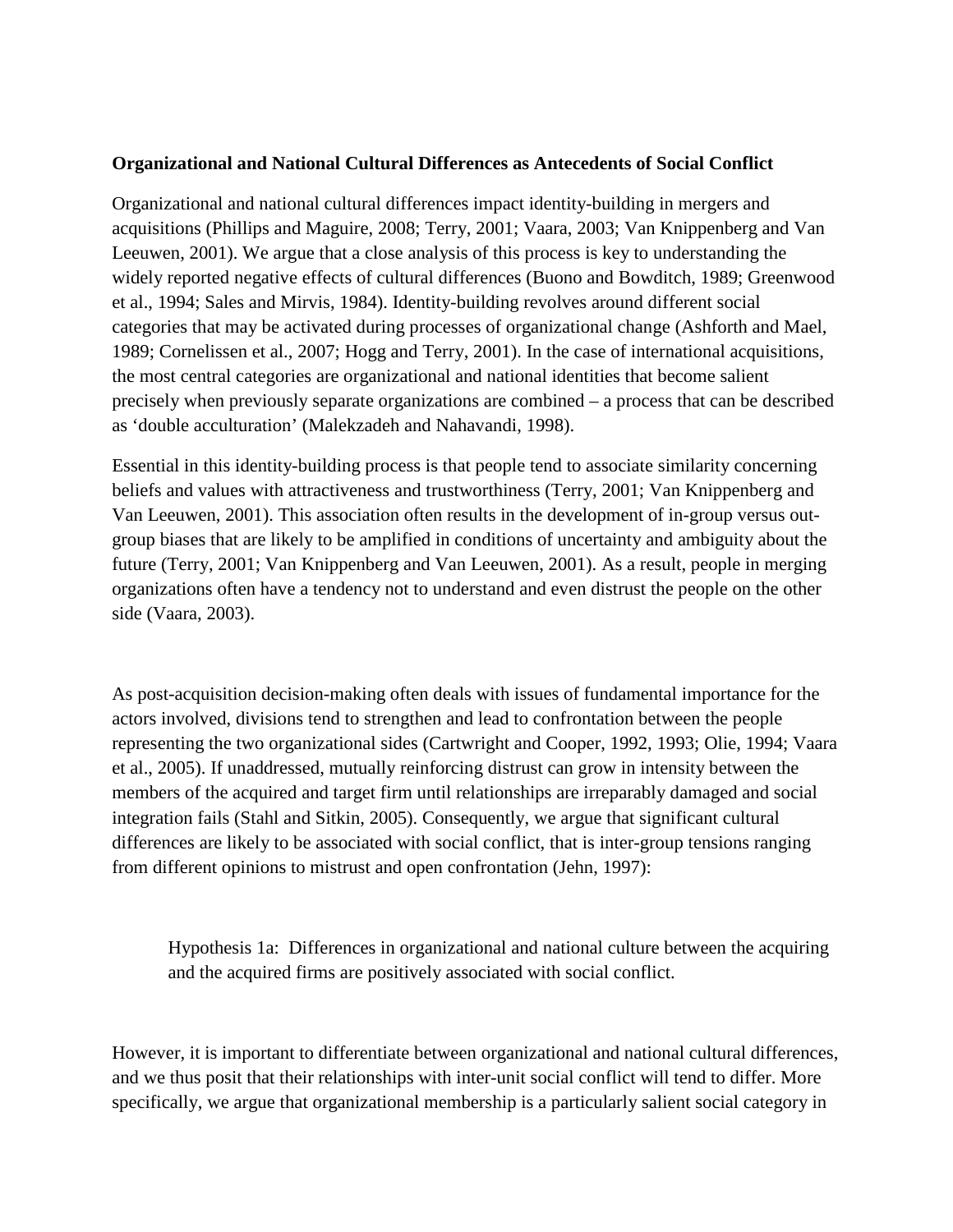#### **Organizational and National Cultural Differences as Antecedents of Social Conflict**

Organizational and national cultural differences impact identity-building in mergers and acquisitions (Phillips and Maguire, 2008; Terry, 2001; Vaara, 2003; Van Knippenberg and Van Leeuwen, 2001). We argue that a close analysis of this process is key to understanding the widely reported negative effects of cultural differences (Buono and Bowditch, 1989; Greenwood et al., 1994; Sales and Mirvis, 1984). Identity-building revolves around different social categories that may be activated during processes of organizational change (Ashforth and Mael, 1989; Cornelissen et al., 2007; Hogg and Terry, 2001). In the case of international acquisitions, the most central categories are organizational and national identities that become salient precisely when previously separate organizations are combined – a process that can be described as 'double acculturation' (Malekzadeh and Nahavandi, 1998).

Essential in this identity-building process is that people tend to associate similarity concerning beliefs and values with attractiveness and trustworthiness (Terry, 2001; Van Knippenberg and Van Leeuwen, 2001). This association often results in the development of in-group versus outgroup biases that are likely to be amplified in conditions of uncertainty and ambiguity about the future (Terry, 2001; Van Knippenberg and Van Leeuwen, 2001). As a result, people in merging organizations often have a tendency not to understand and even distrust the people on the other side (Vaara, 2003).

As post-acquisition decision-making often deals with issues of fundamental importance for the actors involved, divisions tend to strengthen and lead to confrontation between the people representing the two organizational sides (Cartwright and Cooper, 1992, 1993; Olie, 1994; Vaara et al., 2005). If unaddressed, mutually reinforcing distrust can grow in intensity between the members of the acquired and target firm until relationships are irreparably damaged and social integration fails (Stahl and Sitkin, 2005). Consequently, we argue that significant cultural differences are likely to be associated with social conflict, that is inter-group tensions ranging from different opinions to mistrust and open confrontation (Jehn, 1997):

Hypothesis 1a: Differences in organizational and national culture between the acquiring and the acquired firms are positively associated with social conflict.

However, it is important to differentiate between organizational and national cultural differences, and we thus posit that their relationships with inter-unit social conflict will tend to differ. More specifically, we argue that organizational membership is a particularly salient social category in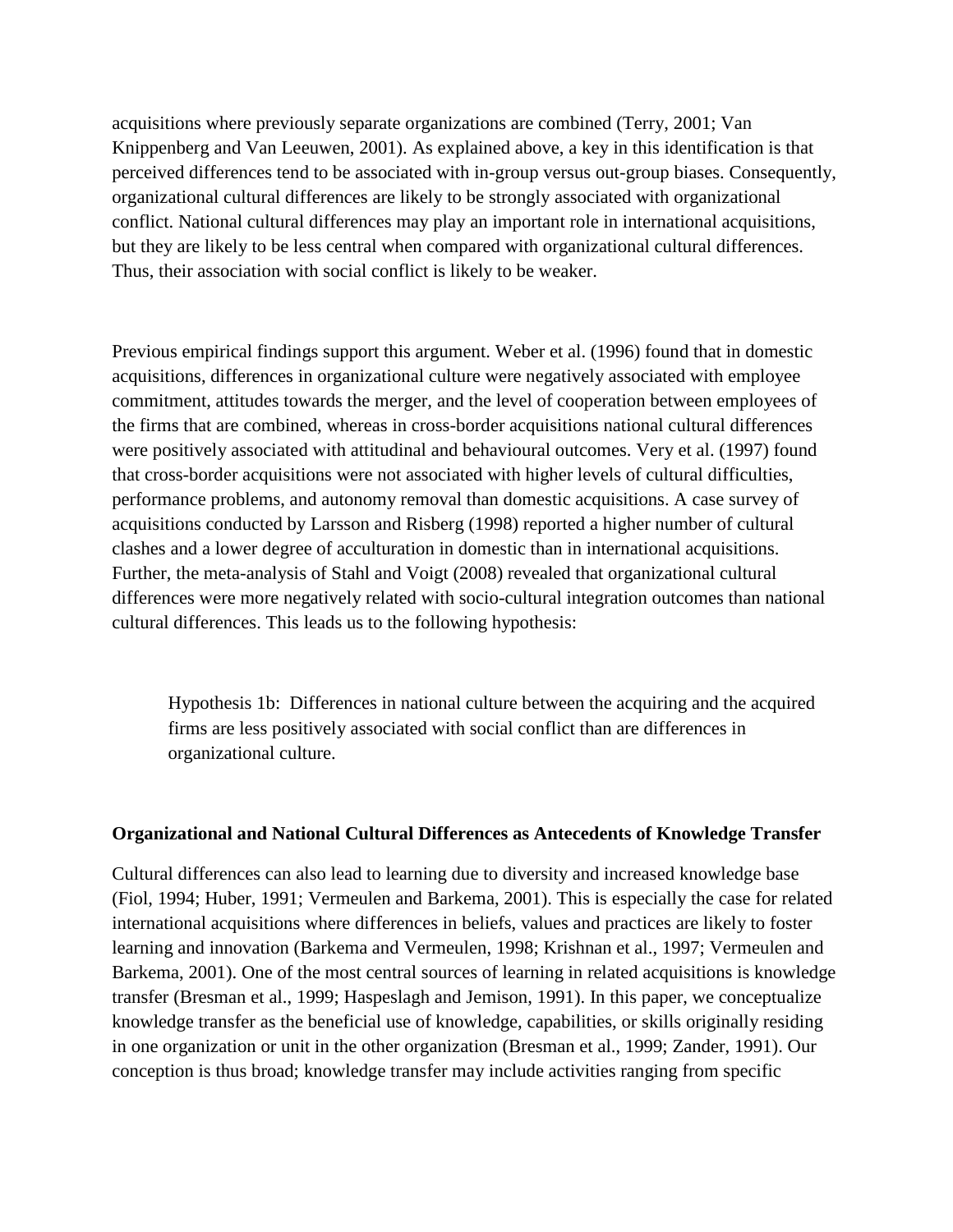acquisitions where previously separate organizations are combined (Terry, 2001; Van Knippenberg and Van Leeuwen, 2001). As explained above, a key in this identification is that perceived differences tend to be associated with in-group versus out-group biases. Consequently, organizational cultural differences are likely to be strongly associated with organizational conflict. National cultural differences may play an important role in international acquisitions, but they are likely to be less central when compared with organizational cultural differences. Thus, their association with social conflict is likely to be weaker.

Previous empirical findings support this argument. Weber et al. (1996) found that in domestic acquisitions, differences in organizational culture were negatively associated with employee commitment, attitudes towards the merger, and the level of cooperation between employees of the firms that are combined, whereas in cross-border acquisitions national cultural differences were positively associated with attitudinal and behavioural outcomes. Very et al. (1997) found that cross-border acquisitions were not associated with higher levels of cultural difficulties, performance problems, and autonomy removal than domestic acquisitions. A case survey of acquisitions conducted by Larsson and Risberg (1998) reported a higher number of cultural clashes and a lower degree of acculturation in domestic than in international acquisitions. Further, the meta-analysis of Stahl and Voigt (2008) revealed that organizational cultural differences were more negatively related with socio-cultural integration outcomes than national cultural differences. This leads us to the following hypothesis:

Hypothesis 1b: Differences in national culture between the acquiring and the acquired firms are less positively associated with social conflict than are differences in organizational culture.

#### **Organizational and National Cultural Differences as Antecedents of Knowledge Transfer**

Cultural differences can also lead to learning due to diversity and increased knowledge base (Fiol, 1994; Huber, 1991; Vermeulen and Barkema, 2001). This is especially the case for related international acquisitions where differences in beliefs, values and practices are likely to foster learning and innovation (Barkema and Vermeulen, 1998; Krishnan et al., 1997; Vermeulen and Barkema, 2001). One of the most central sources of learning in related acquisitions is knowledge transfer (Bresman et al., 1999; Haspeslagh and Jemison, 1991). In this paper, we conceptualize knowledge transfer as the beneficial use of knowledge, capabilities, or skills originally residing in one organization or unit in the other organization (Bresman et al., 1999; Zander, 1991). Our conception is thus broad; knowledge transfer may include activities ranging from specific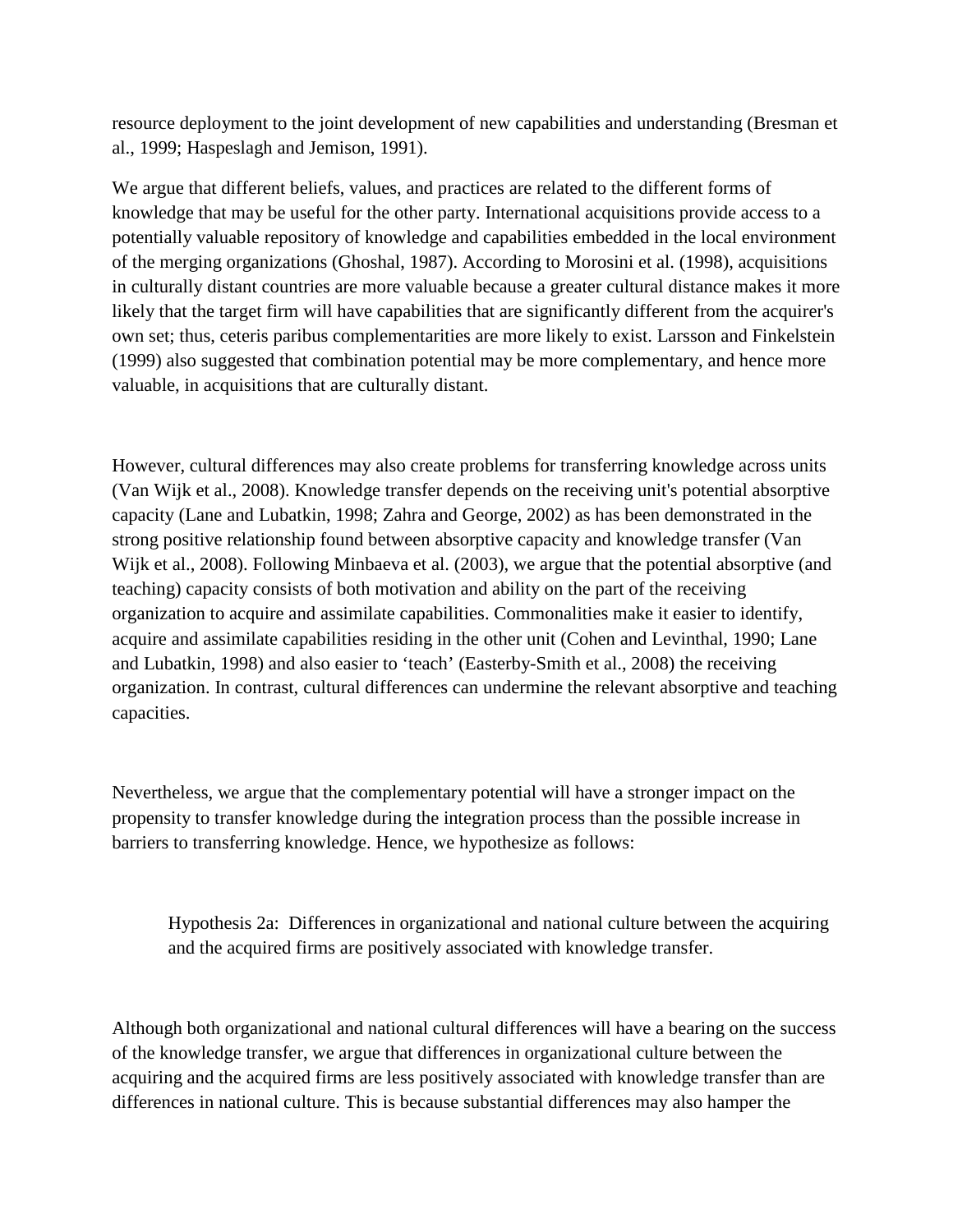resource deployment to the joint development of new capabilities and understanding (Bresman et al., 1999; Haspeslagh and Jemison, 1991).

We argue that different beliefs, values, and practices are related to the different forms of knowledge that may be useful for the other party. International acquisitions provide access to a potentially valuable repository of knowledge and capabilities embedded in the local environment of the merging organizations (Ghoshal, 1987). According to Morosini et al. (1998), acquisitions in culturally distant countries are more valuable because a greater cultural distance makes it more likely that the target firm will have capabilities that are significantly different from the acquirer's own set; thus, ceteris paribus complementarities are more likely to exist. Larsson and Finkelstein (1999) also suggested that combination potential may be more complementary, and hence more valuable, in acquisitions that are culturally distant.

However, cultural differences may also create problems for transferring knowledge across units (Van Wijk et al., 2008). Knowledge transfer depends on the receiving unit's potential absorptive capacity (Lane and Lubatkin, 1998; Zahra and George, 2002) as has been demonstrated in the strong positive relationship found between absorptive capacity and knowledge transfer (Van Wijk et al., 2008). Following Minbaeva et al. (2003), we argue that the potential absorptive (and teaching) capacity consists of both motivation and ability on the part of the receiving organization to acquire and assimilate capabilities. Commonalities make it easier to identify, acquire and assimilate capabilities residing in the other unit (Cohen and Levinthal, 1990; Lane and Lubatkin, 1998) and also easier to 'teach' (Easterby-Smith et al., 2008) the receiving organization. In contrast, cultural differences can undermine the relevant absorptive and teaching capacities.

Nevertheless, we argue that the complementary potential will have a stronger impact on the propensity to transfer knowledge during the integration process than the possible increase in barriers to transferring knowledge. Hence, we hypothesize as follows:

Hypothesis 2a: Differences in organizational and national culture between the acquiring and the acquired firms are positively associated with knowledge transfer.

Although both organizational and national cultural differences will have a bearing on the success of the knowledge transfer, we argue that differences in organizational culture between the acquiring and the acquired firms are less positively associated with knowledge transfer than are differences in national culture. This is because substantial differences may also hamper the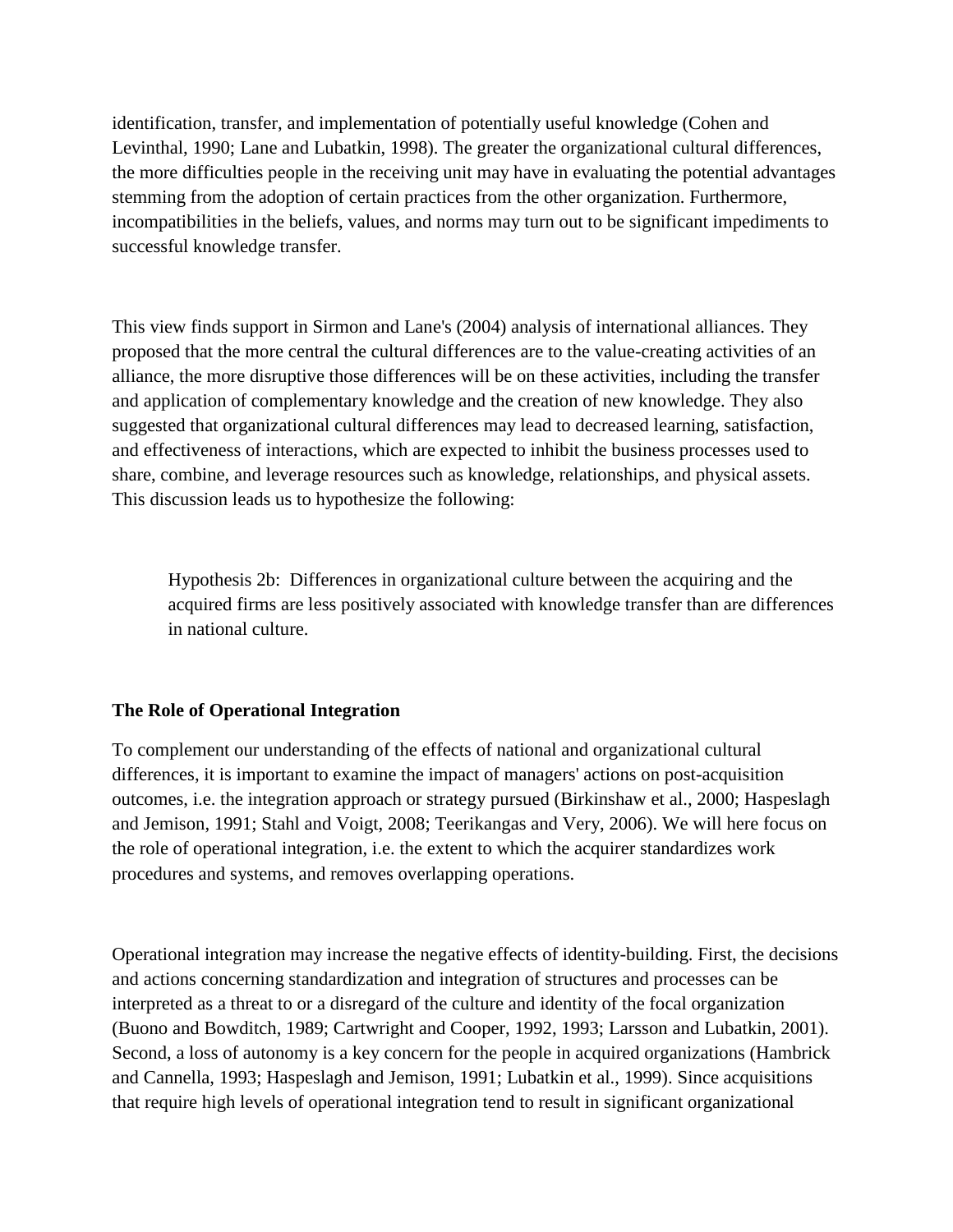identification, transfer, and implementation of potentially useful knowledge (Cohen and Levinthal, 1990; Lane and Lubatkin, 1998). The greater the organizational cultural differences, the more difficulties people in the receiving unit may have in evaluating the potential advantages stemming from the adoption of certain practices from the other organization. Furthermore, incompatibilities in the beliefs, values, and norms may turn out to be significant impediments to successful knowledge transfer.

This view finds support in Sirmon and Lane's (2004) analysis of international alliances. They proposed that the more central the cultural differences are to the value-creating activities of an alliance, the more disruptive those differences will be on these activities, including the transfer and application of complementary knowledge and the creation of new knowledge. They also suggested that organizational cultural differences may lead to decreased learning, satisfaction, and effectiveness of interactions, which are expected to inhibit the business processes used to share, combine, and leverage resources such as knowledge, relationships, and physical assets. This discussion leads us to hypothesize the following:

Hypothesis 2b: Differences in organizational culture between the acquiring and the acquired firms are less positively associated with knowledge transfer than are differences in national culture.

### **The Role of Operational Integration**

To complement our understanding of the effects of national and organizational cultural differences, it is important to examine the impact of managers' actions on post-acquisition outcomes, i.e. the integration approach or strategy pursued (Birkinshaw et al., 2000; Haspeslagh and Jemison, 1991; Stahl and Voigt, 2008; Teerikangas and Very, 2006). We will here focus on the role of operational integration, i.e. the extent to which the acquirer standardizes work procedures and systems, and removes overlapping operations.

Operational integration may increase the negative effects of identity-building. First, the decisions and actions concerning standardization and integration of structures and processes can be interpreted as a threat to or a disregard of the culture and identity of the focal organization (Buono and Bowditch, 1989; Cartwright and Cooper, 1992, 1993; Larsson and Lubatkin, 2001). Second, a loss of autonomy is a key concern for the people in acquired organizations (Hambrick and Cannella, 1993; Haspeslagh and Jemison, 1991; Lubatkin et al., 1999). Since acquisitions that require high levels of operational integration tend to result in significant organizational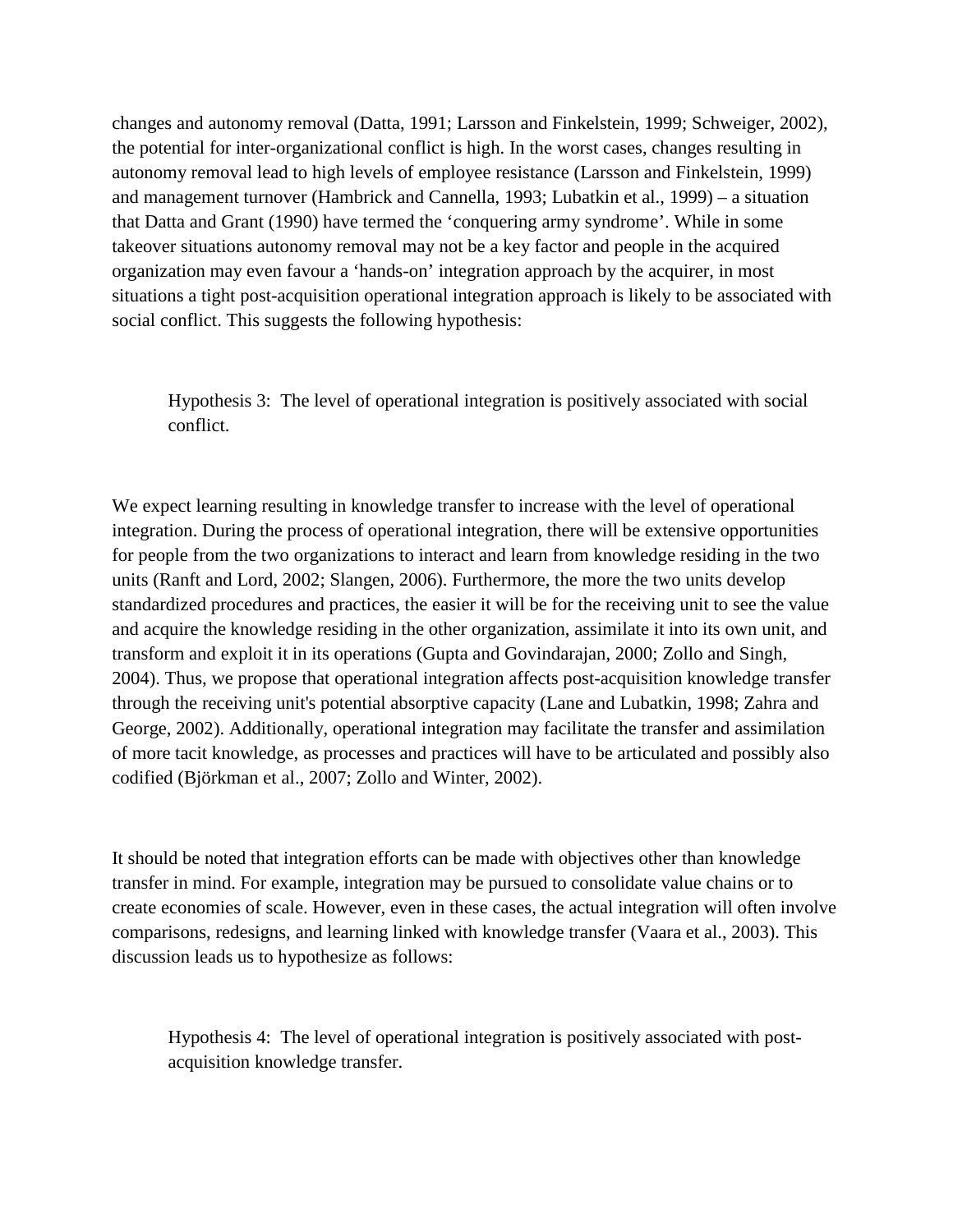changes and autonomy removal (Datta, 1991; Larsson and Finkelstein, 1999; Schweiger, 2002), the potential for inter-organizational conflict is high. In the worst cases, changes resulting in autonomy removal lead to high levels of employee resistance (Larsson and Finkelstein, 1999) and management turnover (Hambrick and Cannella, 1993; Lubatkin et al., 1999) – a situation that Datta and Grant (1990) have termed the 'conquering army syndrome'. While in some takeover situations autonomy removal may not be a key factor and people in the acquired organization may even favour a 'hands-on' integration approach by the acquirer, in most situations a tight post-acquisition operational integration approach is likely to be associated with social conflict. This suggests the following hypothesis:

Hypothesis 3: The level of operational integration is positively associated with social conflict.

We expect learning resulting in knowledge transfer to increase with the level of operational integration. During the process of operational integration, there will be extensive opportunities for people from the two organizations to interact and learn from knowledge residing in the two units (Ranft and Lord, 2002; Slangen, 2006). Furthermore, the more the two units develop standardized procedures and practices, the easier it will be for the receiving unit to see the value and acquire the knowledge residing in the other organization, assimilate it into its own unit, and transform and exploit it in its operations (Gupta and Govindarajan, 2000; Zollo and Singh, 2004). Thus, we propose that operational integration affects post-acquisition knowledge transfer through the receiving unit's potential absorptive capacity (Lane and Lubatkin, 1998; Zahra and George, 2002). Additionally, operational integration may facilitate the transfer and assimilation of more tacit knowledge, as processes and practices will have to be articulated and possibly also codified (Björkman et al., 2007; Zollo and Winter, 2002).

It should be noted that integration efforts can be made with objectives other than knowledge transfer in mind. For example, integration may be pursued to consolidate value chains or to create economies of scale. However, even in these cases, the actual integration will often involve comparisons, redesigns, and learning linked with knowledge transfer (Vaara et al., 2003). This discussion leads us to hypothesize as follows:

Hypothesis 4: The level of operational integration is positively associated with postacquisition knowledge transfer.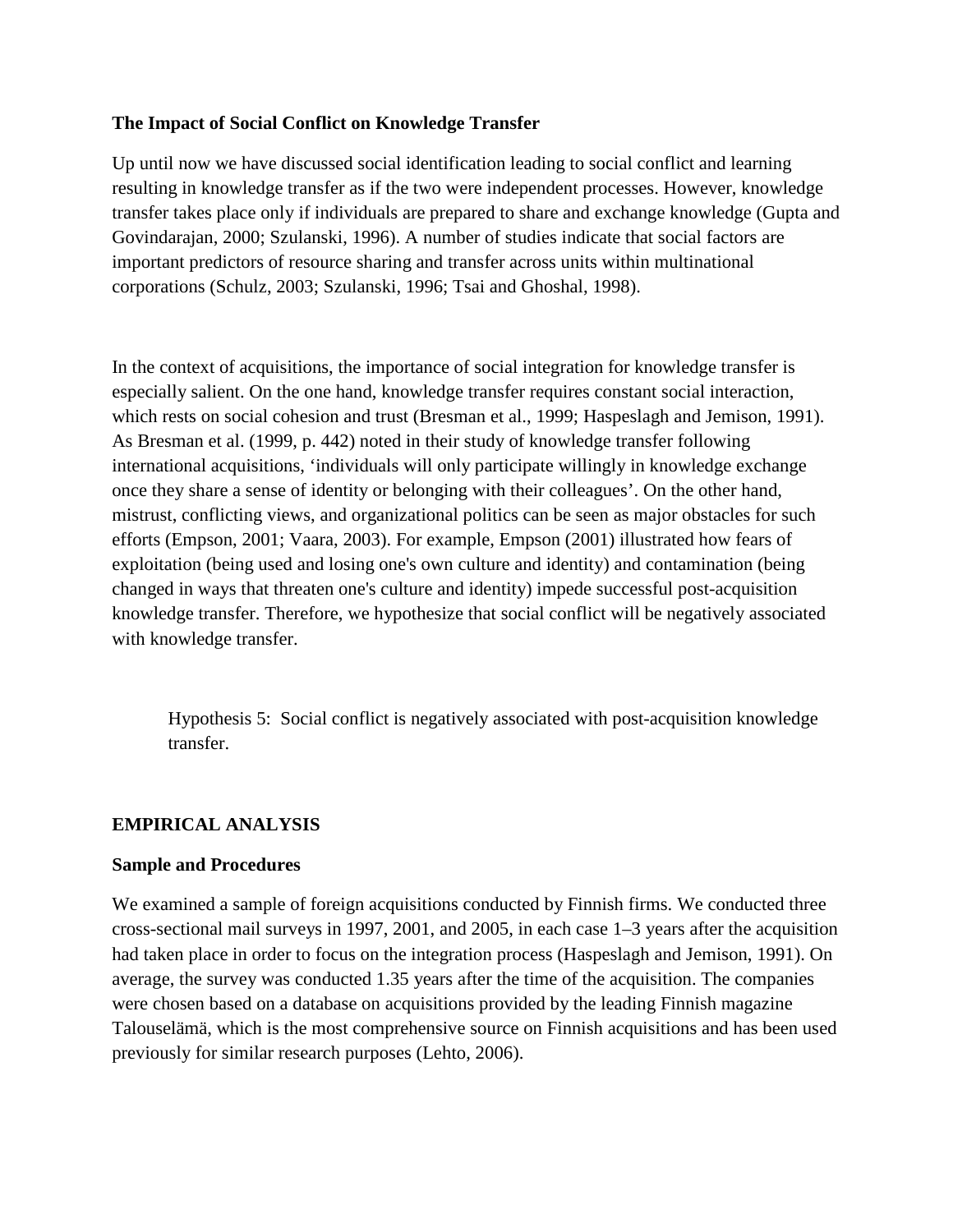### **The Impact of Social Conflict on Knowledge Transfer**

Up until now we have discussed social identification leading to social conflict and learning resulting in knowledge transfer as if the two were independent processes. However, knowledge transfer takes place only if individuals are prepared to share and exchange knowledge (Gupta and Govindarajan, 2000; Szulanski, 1996). A number of studies indicate that social factors are important predictors of resource sharing and transfer across units within multinational corporations (Schulz, 2003; Szulanski, 1996; Tsai and Ghoshal, 1998).

In the context of acquisitions, the importance of social integration for knowledge transfer is especially salient. On the one hand, knowledge transfer requires constant social interaction, which rests on social cohesion and trust (Bresman et al., 1999; Haspeslagh and Jemison, 1991). As Bresman et al. (1999, p. 442) noted in their study of knowledge transfer following international acquisitions, 'individuals will only participate willingly in knowledge exchange once they share a sense of identity or belonging with their colleagues'. On the other hand, mistrust, conflicting views, and organizational politics can be seen as major obstacles for such efforts (Empson, 2001; Vaara, 2003). For example, Empson (2001) illustrated how fears of exploitation (being used and losing one's own culture and identity) and contamination (being changed in ways that threaten one's culture and identity) impede successful post-acquisition knowledge transfer. Therefore, we hypothesize that social conflict will be negatively associated with knowledge transfer.

Hypothesis 5: Social conflict is negatively associated with post-acquisition knowledge transfer.

### **EMPIRICAL ANALYSIS**

#### **Sample and Procedures**

We examined a sample of foreign acquisitions conducted by Finnish firms. We conducted three cross-sectional mail surveys in 1997, 2001, and 2005, in each case 1–3 years after the acquisition had taken place in order to focus on the integration process (Haspeslagh and Jemison, 1991). On average, the survey was conducted 1.35 years after the time of the acquisition. The companies were chosen based on a database on acquisitions provided by the leading Finnish magazine Talouselämä, which is the most comprehensive source on Finnish acquisitions and has been used previously for similar research purposes (Lehto, 2006).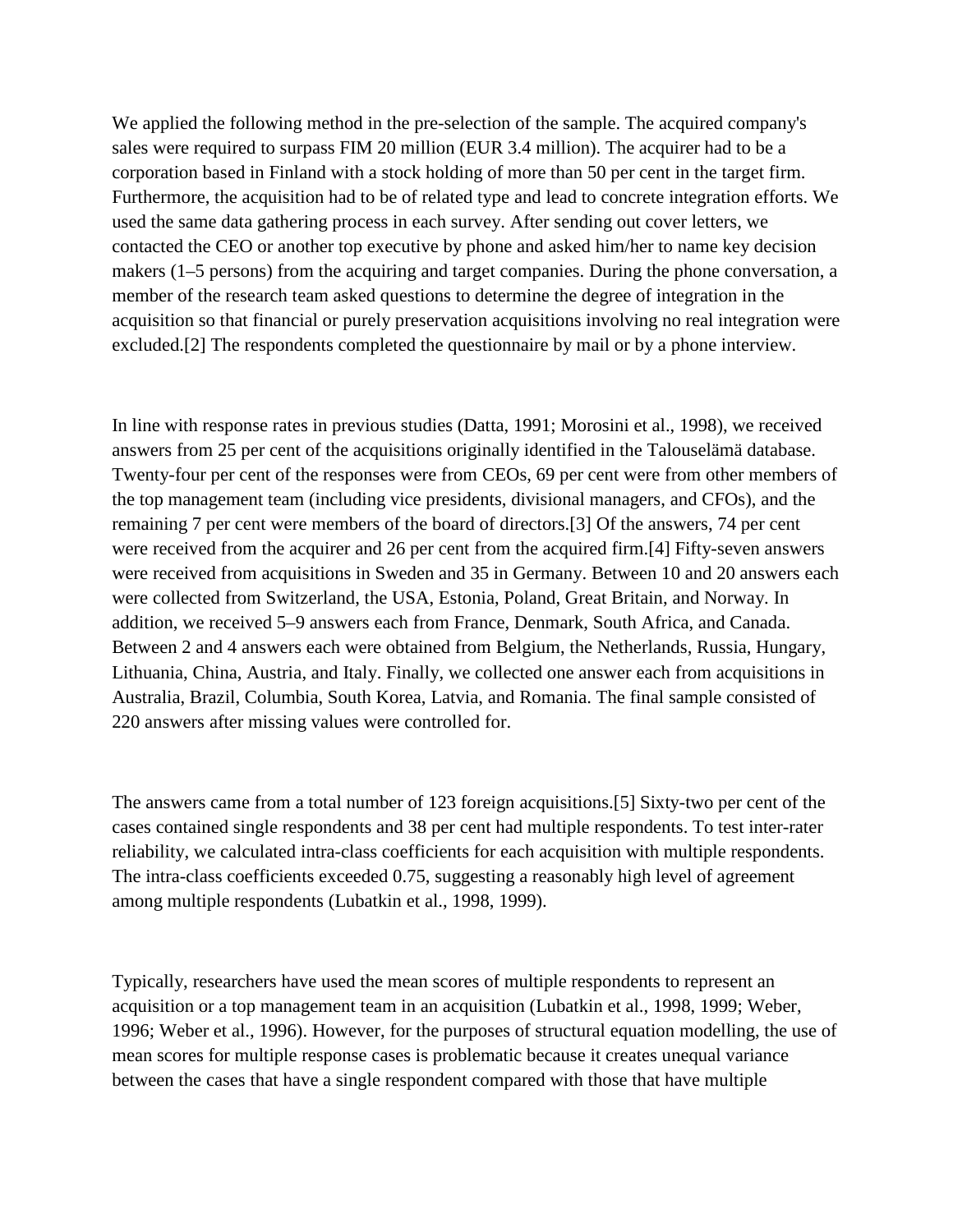We applied the following method in the pre-selection of the sample. The acquired company's sales were required to surpass FIM 20 million (EUR 3.4 million). The acquirer had to be a corporation based in Finland with a stock holding of more than 50 per cent in the target firm. Furthermore, the acquisition had to be of related type and lead to concrete integration efforts. We used the same data gathering process in each survey. After sending out cover letters, we contacted the CEO or another top executive by phone and asked him/her to name key decision makers (1–5 persons) from the acquiring and target companies. During the phone conversation, a member of the research team asked questions to determine the degree of integration in the acquisition so that financial or purely preservation acquisitions involving no real integration were excluded.[2] The respondents completed the questionnaire by mail or by a phone interview.

In line with response rates in previous studies (Datta, 1991; Morosini et al., 1998), we received answers from 25 per cent of the acquisitions originally identified in the Talouselämä database. Twenty-four per cent of the responses were from CEOs, 69 per cent were from other members of the top management team (including vice presidents, divisional managers, and CFOs), and the remaining 7 per cent were members of the board of directors.[3] Of the answers, 74 per cent were received from the acquirer and 26 per cent from the acquired firm.[4] Fifty-seven answers were received from acquisitions in Sweden and 35 in Germany. Between 10 and 20 answers each were collected from Switzerland, the USA, Estonia, Poland, Great Britain, and Norway. In addition, we received 5–9 answers each from France, Denmark, South Africa, and Canada. Between 2 and 4 answers each were obtained from Belgium, the Netherlands, Russia, Hungary, Lithuania, China, Austria, and Italy. Finally, we collected one answer each from acquisitions in Australia, Brazil, Columbia, South Korea, Latvia, and Romania. The final sample consisted of 220 answers after missing values were controlled for.

The answers came from a total number of 123 foreign acquisitions.[5] Sixty-two per cent of the cases contained single respondents and 38 per cent had multiple respondents. To test inter-rater reliability, we calculated intra-class coefficients for each acquisition with multiple respondents. The intra-class coefficients exceeded 0.75, suggesting a reasonably high level of agreement among multiple respondents (Lubatkin et al., 1998, 1999).

Typically, researchers have used the mean scores of multiple respondents to represent an acquisition or a top management team in an acquisition (Lubatkin et al., 1998, 1999; Weber, 1996; Weber et al., 1996). However, for the purposes of structural equation modelling, the use of mean scores for multiple response cases is problematic because it creates unequal variance between the cases that have a single respondent compared with those that have multiple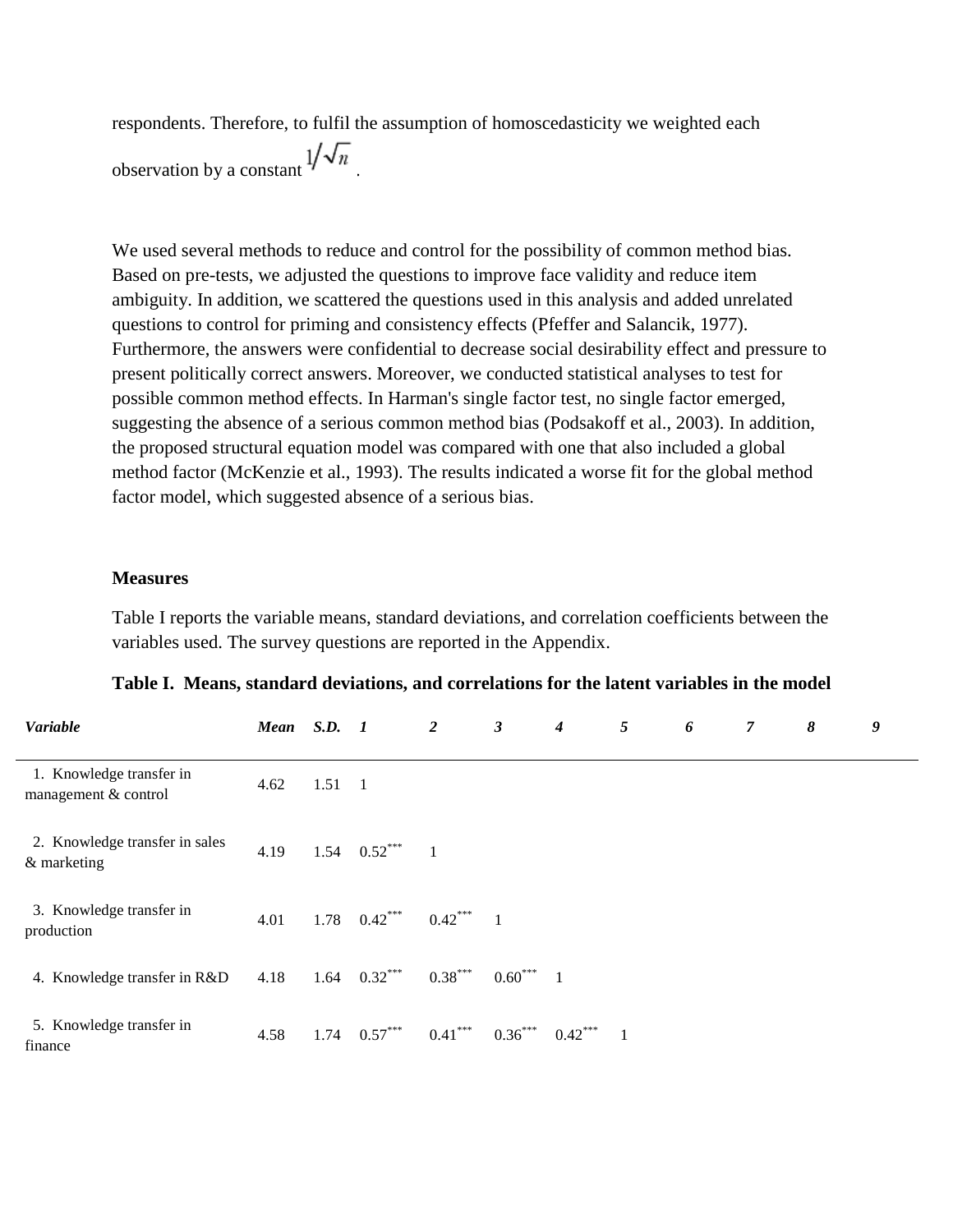respondents. Therefore, to fulfil the assumption of homoscedasticity we weighted each observation by a constant  $1/\sqrt{n}$ 

We used several methods to reduce and control for the possibility of common method bias. Based on pre-tests, we adjusted the questions to improve face validity and reduce item ambiguity. In addition, we scattered the questions used in this analysis and added unrelated questions to control for priming and consistency effects (Pfeffer and Salancik, 1977). Furthermore, the answers were confidential to decrease social desirability effect and pressure to present politically correct answers. Moreover, we conducted statistical analyses to test for possible common method effects. In Harman's single factor test, no single factor emerged, suggesting the absence of a serious common method bias (Podsakoff et al., 2003). In addition, the proposed structural equation model was compared with one that also included a global method factor (McKenzie et al., 1993). The results indicated a worse fit for the global method factor model, which suggested absence of a serious bias.

#### **Measures**

Table I reports the variable means, standard deviations, and correlation coefficients between the variables used. The survey questions are reported in the Appendix.

|  | Table I. Means, standard deviations, and correlations for the latent variables in the model |  |
|--|---------------------------------------------------------------------------------------------|--|
|  |                                                                                             |  |

| Variable                                         | Mean S.D. 1 |                |                  | $\overline{2}$ | 3           | $\boldsymbol{4}$ | 5 | 6 | 7 | 8 | 9 |
|--------------------------------------------------|-------------|----------------|------------------|----------------|-------------|------------------|---|---|---|---|---|
| 1. Knowledge transfer in<br>management & control | 4.62        | $1.51 \quad 1$ |                  |                |             |                  |   |   |   |   |   |
| 2. Knowledge transfer in sales<br>& marketing    | 4.19        |                | 1.54 $0.52***$ 1 |                |             |                  |   |   |   |   |   |
| 3. Knowledge transfer in<br>production           | 4.01        |                | $1.78$ 0.42***   | $0.42***$ 1    |             |                  |   |   |   |   |   |
| 4. Knowledge transfer in R&D                     | 4.18        |                | 1.64 $0.32***$   | $0.38***$      | $0.60***$ 1 |                  |   |   |   |   |   |
| 5. Knowledge transfer in<br>finance              | 4.58        |                | $1.74$ $0.57***$ | $0.41***$      | $0.36***$   | $0.42***$ 1      |   |   |   |   |   |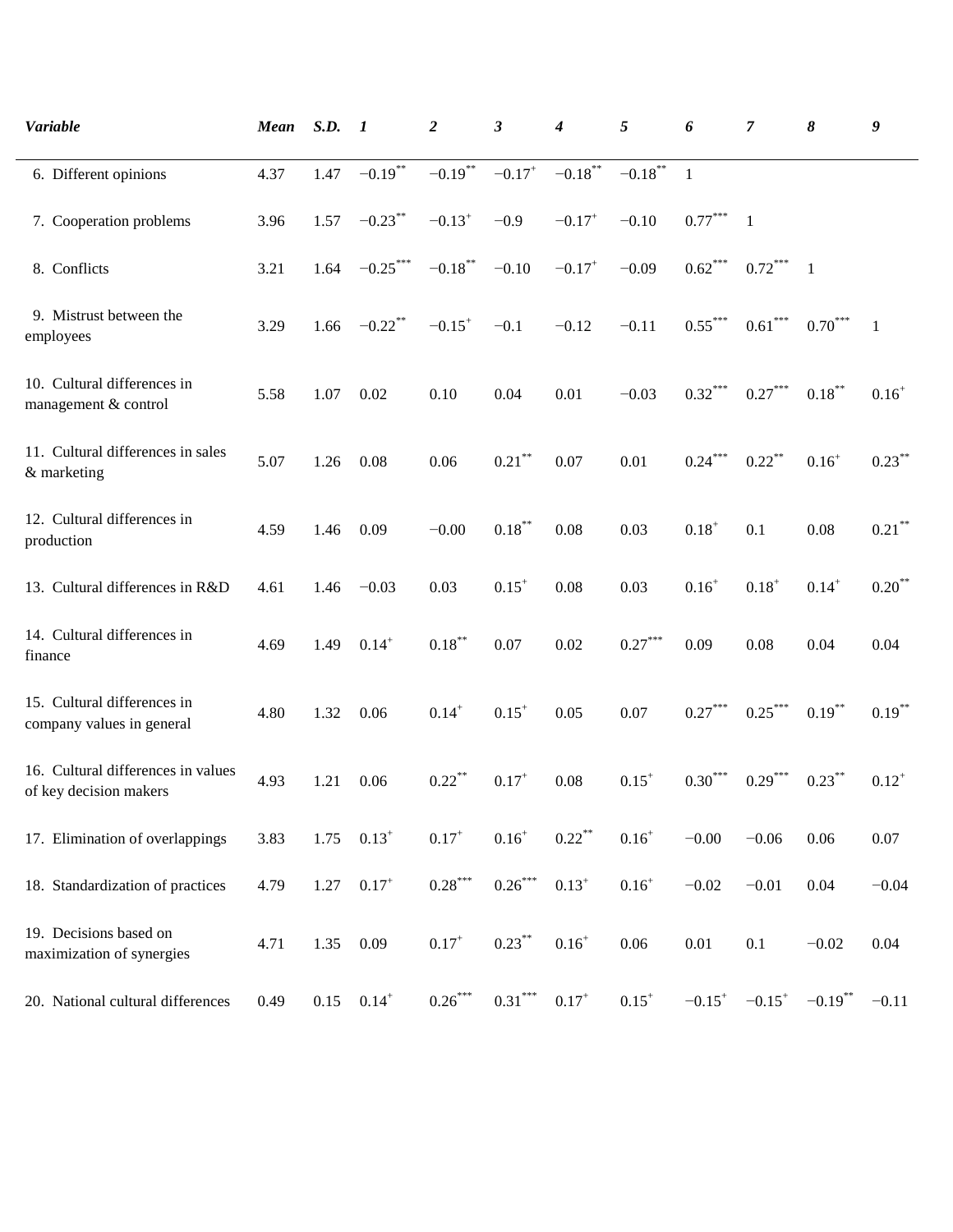| Variable                                                     | Mean | S.D. | $\mathbf{I}$ | 2                     | 3                         | 4                    | 5          | 6                     | 7                    | 8            | 9            |
|--------------------------------------------------------------|------|------|--------------|-----------------------|---------------------------|----------------------|------------|-----------------------|----------------------|--------------|--------------|
| 6. Different opinions                                        | 4.37 | 1.47 | $-0.19***$   | $-0.19$ **            | $-0.17$ <sup>+</sup>      | $-0.18***$           | $-0.18***$ | -1                    |                      |              |              |
| 7. Cooperation problems                                      | 3.96 | 1.57 | $-0.23$ **   | $-0.13^{+}$           | $-0.9$                    | $-0.17$ <sup>+</sup> | $-0.10$    | $0.77^{\ast\ast\ast}$ | $\mathbf{1}$         |              |              |
| 8. Conflicts                                                 | 3.21 | 1.64 | $-0.25***$   | $-0.18***$            | $-0.10$                   | $-0.17$ <sup>+</sup> | $-0.09$    | $0.62***$             | $0.72***$            | $\mathbf{1}$ |              |
| 9. Mistrust between the<br>employees                         | 3.29 | 1.66 | $-0.22$ **   | $-0.15$ <sup>+</sup>  | $-0.1$                    | $-0.12$              | $-0.11$    | $0.55***$             | $0.61***$            | $0.70***$    | $\mathbf{1}$ |
| 10. Cultural differences in<br>management & control          | 5.58 | 1.07 | 0.02         | 0.10                  | 0.04                      | 0.01                 | $-0.03$    | $0.32^{\ast\ast\ast}$ | $0.27***$            | $0.18***$    | $0.16^{+}$   |
| 11. Cultural differences in sales<br>& marketing             | 5.07 | 1.26 | 0.08         | 0.06                  | $0.21***$                 | 0.07                 | 0.01       | $0.24***$             | $0.22$ **            | $0.16^{+}$   | $0.23***$    |
| 12. Cultural differences in<br>production                    | 4.59 | 1.46 | 0.09         | $-0.00$               | $0.18***$                 | 0.08                 | 0.03       | $0.18^{+}$            | 0.1                  | 0.08         | $0.21***$    |
| 13. Cultural differences in R&D                              | 4.61 | 1.46 | $-0.03$      | 0.03                  | $0.15^{+}$                | 0.08                 | 0.03       | $0.16^{+}$            | $0.18^{+}$           | $0.14^{+}$   | $0.20**$     |
| 14. Cultural differences in<br>finance                       | 4.69 | 1.49 | $0.14^{+}$   | $0.18***$             | 0.07                      | 0.02                 | $0.27***$  | 0.09                  | 0.08                 | 0.04         | 0.04         |
| 15. Cultural differences in<br>company values in general     | 4.80 | 1.32 | 0.06         | $0.14^{+}$            | $0.15^{+}$                | 0.05                 | 0.07       | $0.27^{\ast\ast\ast}$ | $0.25***$            | $0.19***$    | $0.19***$    |
| 16. Cultural differences in values<br>of key decision makers | 4.93 | 1.21 | 0.06         | $0.22$ **             | $0.17^{+}$                | 0.08                 | $0.15^+$   | $0.30^\mathrm{***}$   | $0.29***$            | $0.23***$    | $0.12^{+}$   |
| 17. Elimination of overlappings                              | 3.83 | 1.75 | $0.13^{+}$   | $0.17^{+}$            | $0.16^{+}$                | $0.22***$            | $0.16^{+}$ | $-0.00$               | $-0.06$              | 0.06         | 0.07         |
| 18. Standardization of practices                             | 4.79 | 1.27 | $0.17^{+}$   | $0.28^{\ast\ast\ast}$ | $0.26\sp{*}{^\ast\sp{*}}$ | $0.13^{+}$           | $0.16^{+}$ | $-0.02$               | $-0.01$              | 0.04         | $-0.04$      |
| 19. Decisions based on<br>maximization of synergies          | 4.71 | 1.35 | 0.09         | $0.17^{+}$            | $0.23***$                 | $0.16^{+}$           | 0.06       | $0.01\,$              | $0.1\,$              | $-0.02$      | 0.04         |
| 20. National cultural differences                            | 0.49 | 0.15 | $0.14^{+}$   | $0.26***$             | $0.31***$                 | $0.17^{+}$           | $0.15^{+}$ | $-0.15$ <sup>+</sup>  | $-0.15$ <sup>+</sup> | $-0.19$ **   | $-0.11$      |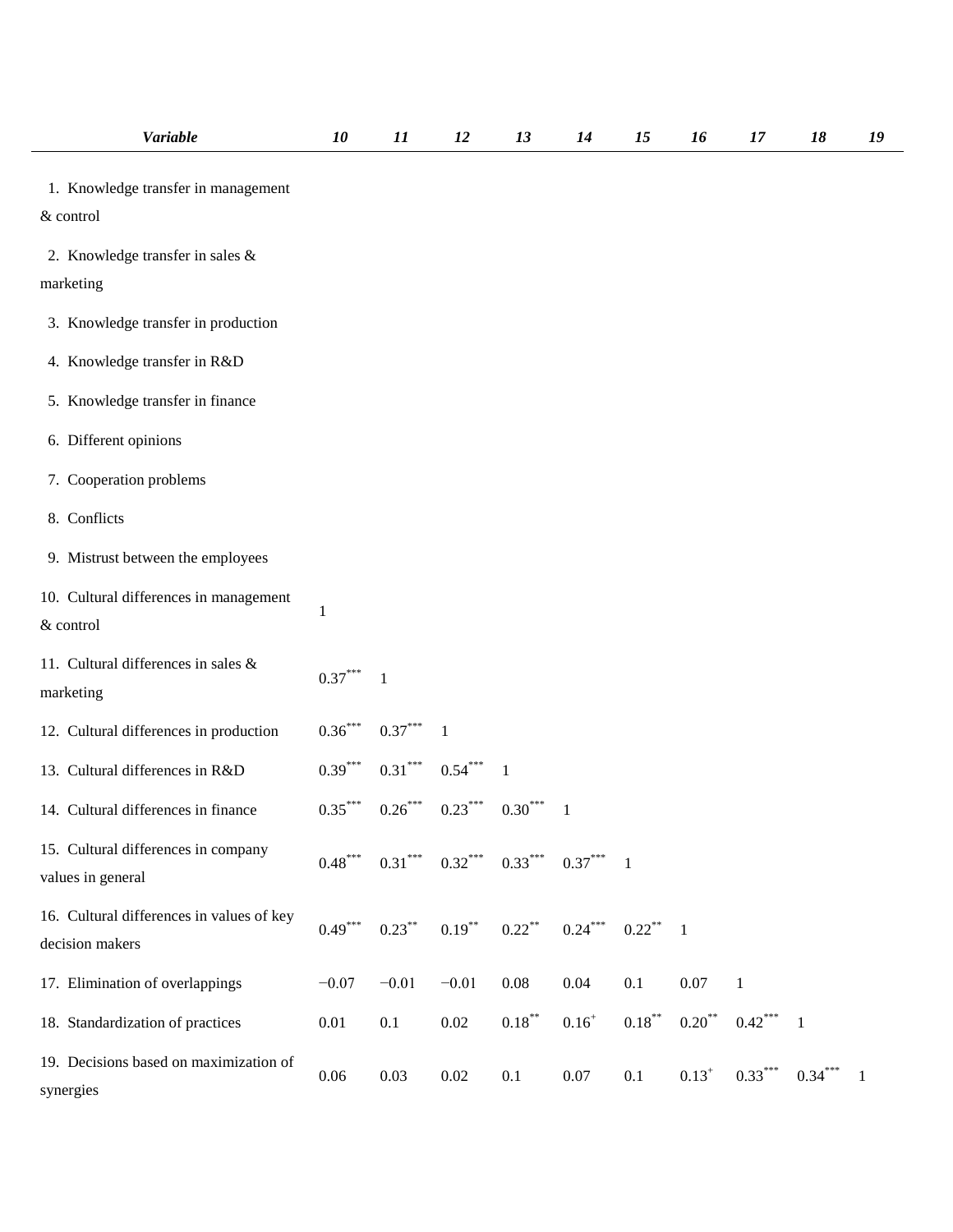| <b>Variable</b>                                              | 10                    | 11                    | 12           | 13                            | 14           | 15                     | 16         | 17           | 18           | 19 |
|--------------------------------------------------------------|-----------------------|-----------------------|--------------|-------------------------------|--------------|------------------------|------------|--------------|--------------|----|
| 1. Knowledge transfer in management<br>& control             |                       |                       |              |                               |              |                        |            |              |              |    |
| 2. Knowledge transfer in sales &<br>marketing                |                       |                       |              |                               |              |                        |            |              |              |    |
| 3. Knowledge transfer in production                          |                       |                       |              |                               |              |                        |            |              |              |    |
| 4. Knowledge transfer in R&D                                 |                       |                       |              |                               |              |                        |            |              |              |    |
| 5. Knowledge transfer in finance                             |                       |                       |              |                               |              |                        |            |              |              |    |
| 6. Different opinions                                        |                       |                       |              |                               |              |                        |            |              |              |    |
| 7. Cooperation problems                                      |                       |                       |              |                               |              |                        |            |              |              |    |
| 8. Conflicts                                                 |                       |                       |              |                               |              |                        |            |              |              |    |
| 9. Mistrust between the employees                            |                       |                       |              |                               |              |                        |            |              |              |    |
| 10. Cultural differences in management<br>& control          | 1                     |                       |              |                               |              |                        |            |              |              |    |
| 11. Cultural differences in sales &<br>marketing             | $0.37***$             | $\mathbf{1}$          |              |                               |              |                        |            |              |              |    |
| 12. Cultural differences in production                       | $0.36^{***}$          | $0.37^{\ast\ast\ast}$ | $\mathbf{1}$ |                               |              |                        |            |              |              |    |
| 13. Cultural differences in R&D                              | $0.39***$             | $0.31***$             | $0.54***$    | $\overline{1}$                |              |                        |            |              |              |    |
| 14. Cultural differences in finance                          | $0.35^{\ast\ast\ast}$ | $0.26\sp{***}$        | $0.23***$    | $0.30***$                     | $\mathbf{1}$ |                        |            |              |              |    |
| 15. Cultural differences in company<br>values in general     | $0.48***$             |                       |              | $0.31***$ $0.32***$ $0.33***$ | $0.37***1$   |                        |            |              |              |    |
| 16. Cultural differences in values of key<br>decision makers | $0.49***$             | $0.23***$             | $0.19***$    | $0.22$ **                     | $0.24***$    | $0.22$ <sup>**</sup> 1 |            |              |              |    |
| 17. Elimination of overlappings                              | $-0.07$               | $-0.01$               | $-0.01$      | 0.08                          | 0.04         | 0.1                    | 0.07       | $\mathbf{1}$ |              |    |
| 18. Standardization of practices                             | 0.01                  | 0.1                   | 0.02         | $0.18***$                     | $0.16^{+}$   | $0.18***$              | $0.20***$  | $0.42***$    | $\mathbf{1}$ |    |
| 19. Decisions based on maximization of<br>synergies          | $0.06\,$              | 0.03                  | 0.02         | 0.1                           | $0.07\,$     | 0.1                    | $0.13^{+}$ | $0.33***$    | $0.34***$    | -1 |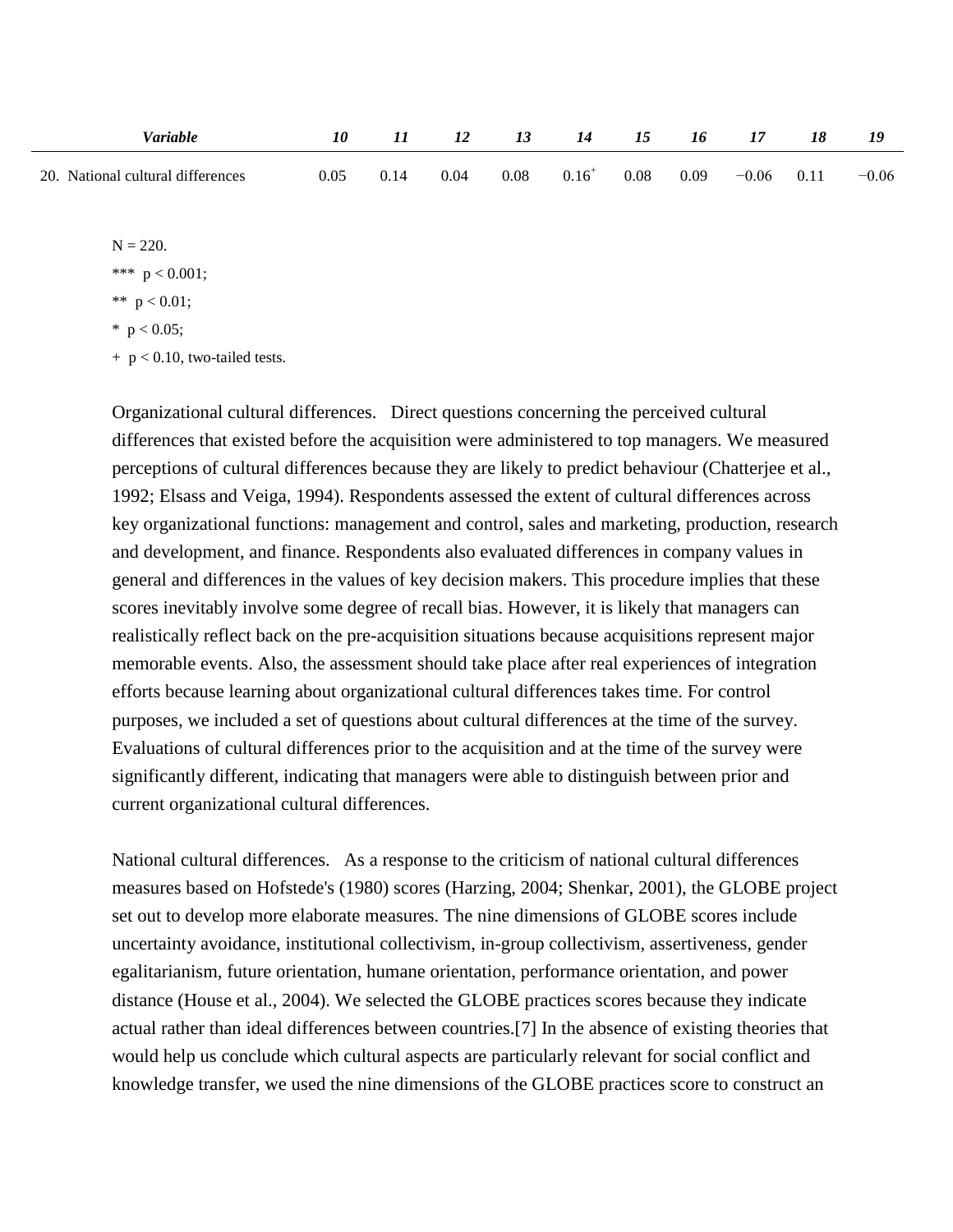| Variable                          | 10   |     |      |      | 14         | 15   | 16   |         | 18   | 19      |
|-----------------------------------|------|-----|------|------|------------|------|------|---------|------|---------|
| 20. National cultural differences | 0.05 | 014 | 0.04 | 0.08 | $0.16^{+}$ | 0.08 | 0.09 | $-0.06$ | 0.11 | $-0.06$ |

 $N = 220.$ 

\*\*\*  $p < 0.001$ ;

$$
** \ p < 0.01;
$$

$$
^*\ \ p<0.05;
$$

 $+ p < 0.10$ , two-tailed tests.

Organizational cultural differences. Direct questions concerning the perceived cultural differences that existed before the acquisition were administered to top managers. We measured perceptions of cultural differences because they are likely to predict behaviour (Chatterjee et al., 1992; Elsass and Veiga, 1994). Respondents assessed the extent of cultural differences across key organizational functions: management and control, sales and marketing, production, research and development, and finance. Respondents also evaluated differences in company values in general and differences in the values of key decision makers. This procedure implies that these scores inevitably involve some degree of recall bias. However, it is likely that managers can realistically reflect back on the pre-acquisition situations because acquisitions represent major memorable events. Also, the assessment should take place after real experiences of integration efforts because learning about organizational cultural differences takes time. For control purposes, we included a set of questions about cultural differences at the time of the survey. Evaluations of cultural differences prior to the acquisition and at the time of the survey were significantly different, indicating that managers were able to distinguish between prior and current organizational cultural differences.

National cultural differences. As a response to the criticism of national cultural differences measures based on Hofstede's (1980) scores (Harzing, 2004; Shenkar, 2001), the GLOBE project set out to develop more elaborate measures. The nine dimensions of GLOBE scores include uncertainty avoidance, institutional collectivism, in-group collectivism, assertiveness, gender egalitarianism, future orientation, humane orientation, performance orientation, and power distance (House et al., 2004). We selected the GLOBE practices scores because they indicate actual rather than ideal differences between countries.[7] In the absence of existing theories that would help us conclude which cultural aspects are particularly relevant for social conflict and knowledge transfer, we used the nine dimensions of the GLOBE practices score to construct an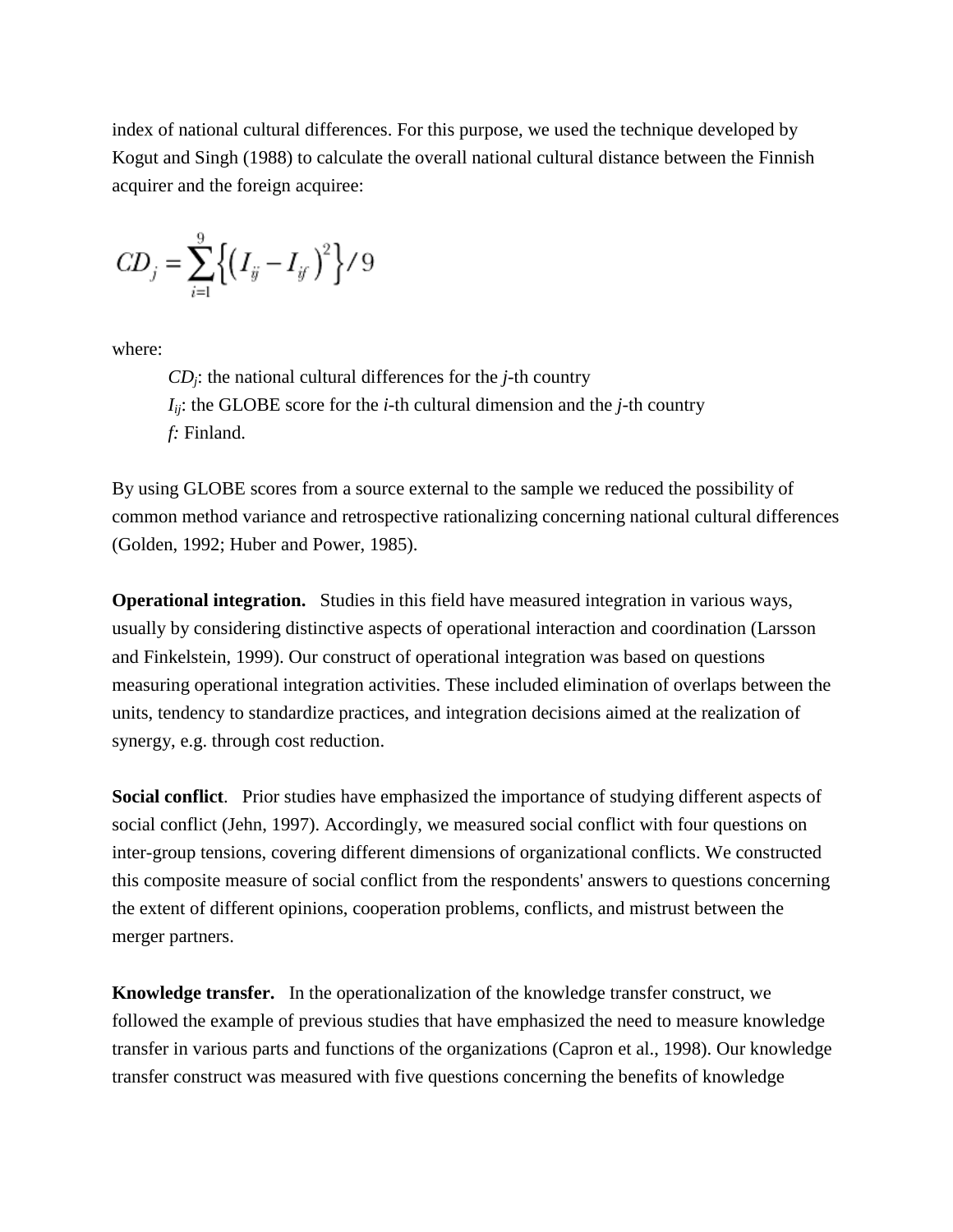index of national cultural differences. For this purpose, we used the technique developed by Kogut and Singh (1988) to calculate the overall national cultural distance between the Finnish acquirer and the foreign acquiree:

$$
CD_j = \sum_{i=1}^{9} \left\{ \left( I_{ij} - I_{ij} \right)^2 \right\} / 9
$$

where:

*CDj*: the national cultural differences for the *j*-th country  $I_{ii}$ : the GLOBE score for the *i*-th cultural dimension and the *j*-th country *f:* Finland.

By using GLOBE scores from a source external to the sample we reduced the possibility of common method variance and retrospective rationalizing concerning national cultural differences (Golden, 1992; Huber and Power, 1985).

**Operational integration.** Studies in this field have measured integration in various ways, usually by considering distinctive aspects of operational interaction and coordination (Larsson and Finkelstein, 1999). Our construct of operational integration was based on questions measuring operational integration activities. These included elimination of overlaps between the units, tendency to standardize practices, and integration decisions aimed at the realization of synergy, e.g. through cost reduction.

**Social conflict**. Prior studies have emphasized the importance of studying different aspects of social conflict (Jehn, 1997). Accordingly, we measured social conflict with four questions on inter-group tensions, covering different dimensions of organizational conflicts. We constructed this composite measure of social conflict from the respondents' answers to questions concerning the extent of different opinions, cooperation problems, conflicts, and mistrust between the merger partners.

**Knowledge transfer.** In the operationalization of the knowledge transfer construct, we followed the example of previous studies that have emphasized the need to measure knowledge transfer in various parts and functions of the organizations (Capron et al., 1998). Our knowledge transfer construct was measured with five questions concerning the benefits of knowledge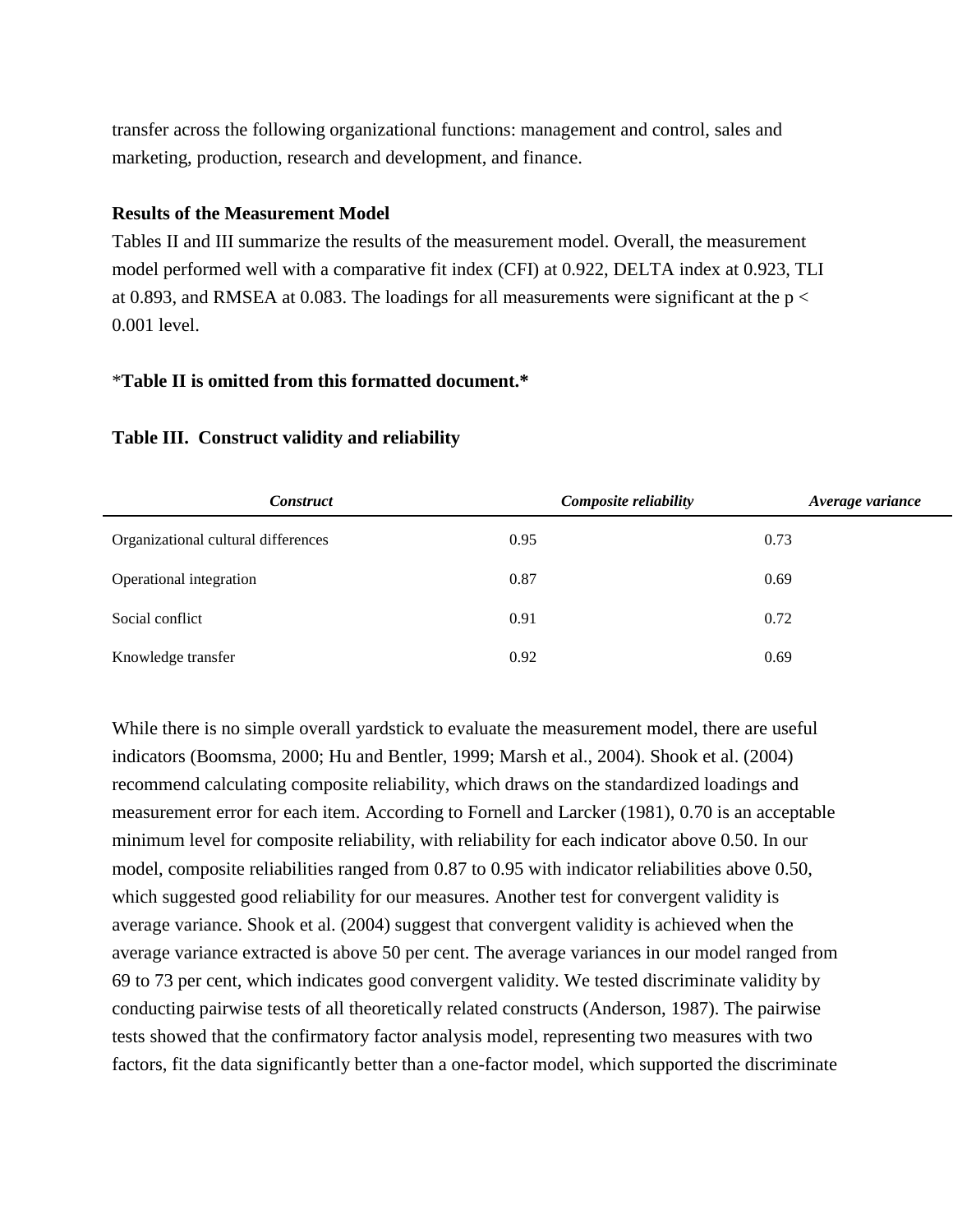transfer across the following organizational functions: management and control, sales and marketing, production, research and development, and finance.

#### **Results of the Measurement Model**

Tables II and III summarize the results of the measurement model. Overall, the measurement model performed well with a comparative fit index (CFI) at 0.922, DELTA index at 0.923, TLI at 0.893, and RMSEA at 0.083. The loadings for all measurements were significant at the  $p <$ 0.001 level.

### \***Table II is omitted from this formatted document.\***

| <i>Construct</i>                    | Composite reliability | Average variance |
|-------------------------------------|-----------------------|------------------|
| Organizational cultural differences | 0.95                  | 0.73             |
| Operational integration             | 0.87                  | 0.69             |
| Social conflict                     | 0.91                  | 0.72             |
| Knowledge transfer                  | 0.92                  | 0.69             |

### **Table III. Construct validity and reliability**

While there is no simple overall yardstick to evaluate the measurement model, there are useful indicators (Boomsma, 2000; Hu and Bentler, 1999; Marsh et al., 2004). Shook et al. (2004) recommend calculating composite reliability, which draws on the standardized loadings and measurement error for each item. According to Fornell and Larcker (1981), 0.70 is an acceptable minimum level for composite reliability, with reliability for each indicator above 0.50. In our model, composite reliabilities ranged from 0.87 to 0.95 with indicator reliabilities above 0.50, which suggested good reliability for our measures. Another test for convergent validity is average variance. Shook et al. (2004) suggest that convergent validity is achieved when the average variance extracted is above 50 per cent. The average variances in our model ranged from 69 to 73 per cent, which indicates good convergent validity. We tested discriminate validity by conducting pairwise tests of all theoretically related constructs (Anderson, 1987). The pairwise tests showed that the confirmatory factor analysis model, representing two measures with two factors, fit the data significantly better than a one-factor model, which supported the discriminate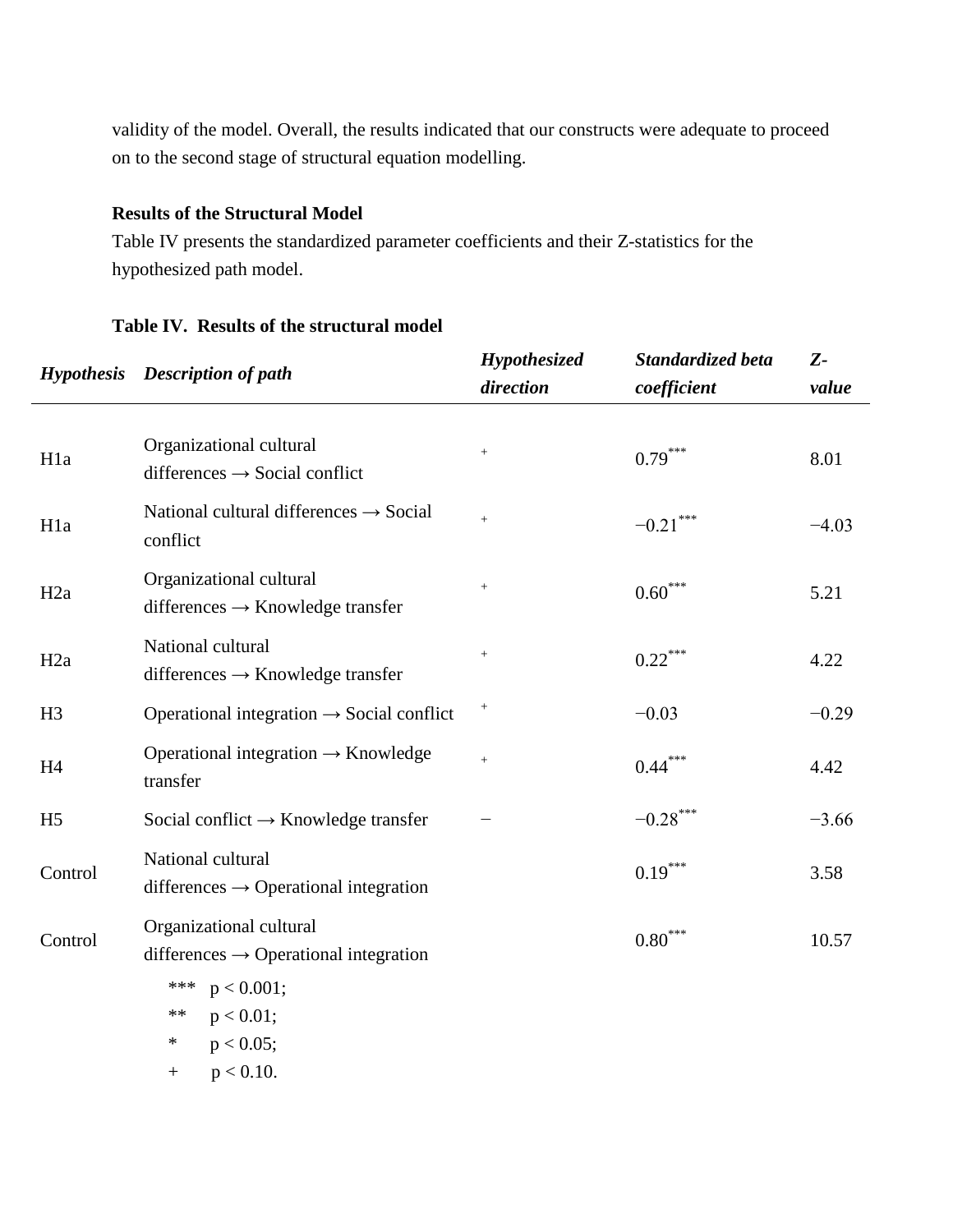validity of the model. Overall, the results indicated that our constructs were adequate to proceed on to the second stage of structural equation modelling.

### **Results of the Structural Model**

Table IV presents the standardized parameter coefficients and their Z-statistics for the hypothesized path model.

#### **Table IV. Results of the structural model**

|                  | <b>Hypothesis</b> Description of path                                        | Hypothesized     | Standardized beta     | $Z-$    |  |
|------------------|------------------------------------------------------------------------------|------------------|-----------------------|---------|--|
|                  |                                                                              | direction        | coefficient           | value   |  |
|                  |                                                                              |                  |                       |         |  |
| H <sub>1</sub> a | Organizational cultural<br>differences $\rightarrow$ Social conflict         | $\! +$           | $0.79***$             | 8.01    |  |
| H <sub>1</sub> a | National cultural differences $\rightarrow$ Social<br>conflict               | $\pm$            | $-0.21$ ***           | $-4.03$ |  |
| H <sub>2</sub> a | Organizational cultural<br>differences $\rightarrow$ Knowledge transfer      | $\boldsymbol{+}$ | $0.60^\mathrm{***}$   | 5.21    |  |
| H <sub>2</sub> a | National cultural<br>differences $\rightarrow$ Knowledge transfer            | $\boldsymbol{+}$ | $0.22***$             | 4.22    |  |
| H <sub>3</sub>   | Operational integration $\rightarrow$ Social conflict                        | $^{+}$           | $-0.03$               | $-0.29$ |  |
| H <sub>4</sub>   | Operational integration $\rightarrow$ Knowledge<br>transfer                  | $\pm$            | $0.44***$             | 4.42    |  |
| H <sub>5</sub>   | Social conflict $\rightarrow$ Knowledge transfer                             |                  | $-0.28$ ***           | $-3.66$ |  |
| Control          | National cultural<br>differences $\rightarrow$ Operational integration       |                  | $0.19***$             | 3.58    |  |
| Control          | Organizational cultural<br>differences $\rightarrow$ Operational integration |                  | $0.80^{\ast\ast\ast}$ | 10.57   |  |
|                  | *** $p < 0.001$ ;                                                            |                  |                       |         |  |
|                  | $p < 0.01$ ;<br>**                                                           |                  |                       |         |  |
|                  | $\ast$<br>$p < 0.05$ ;                                                       |                  |                       |         |  |
|                  | $p < 0.10$ .<br>$+$                                                          |                  |                       |         |  |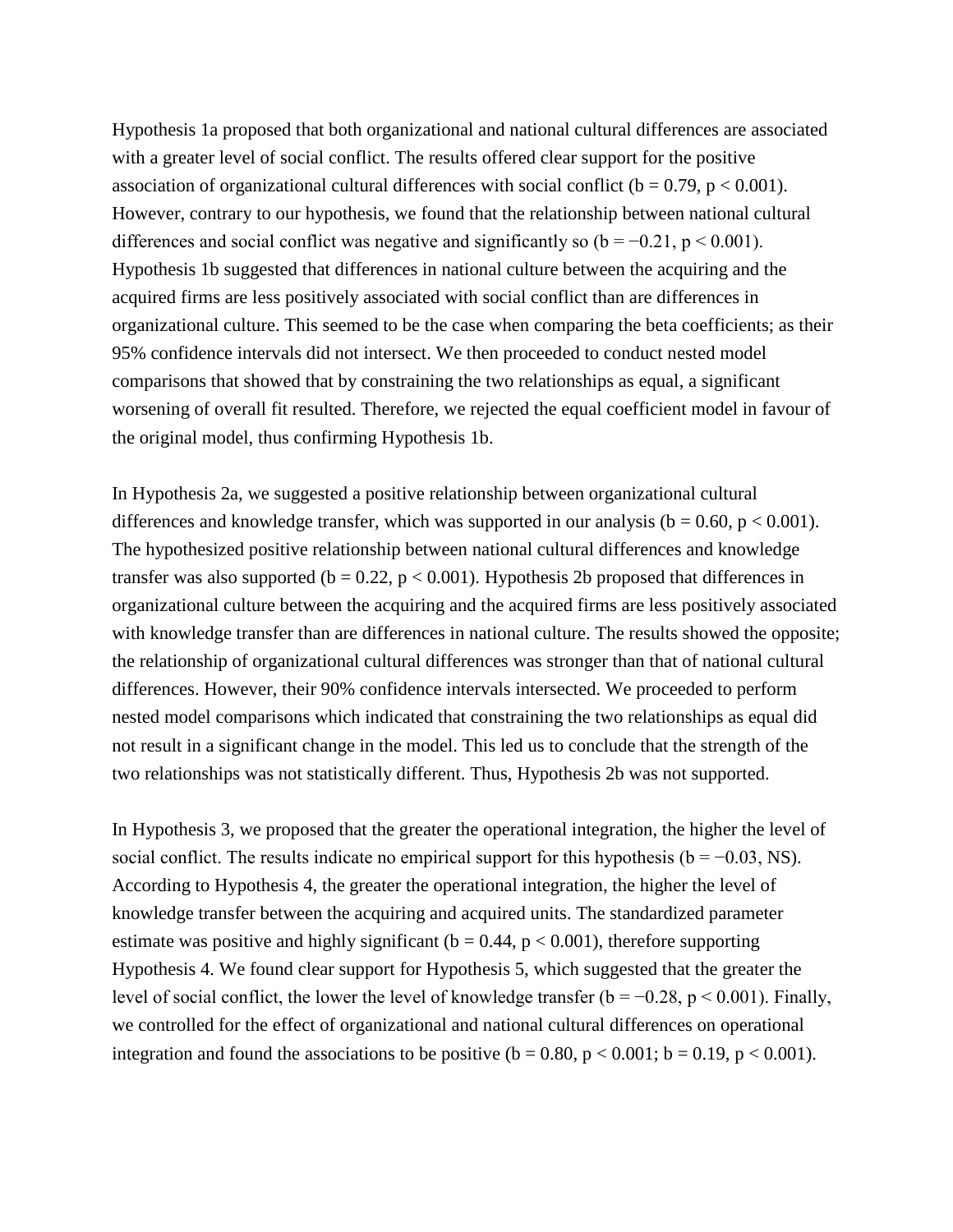Hypothesis 1a proposed that both organizational and national cultural differences are associated with a greater level of social conflict. The results offered clear support for the positive association of organizational cultural differences with social conflict ( $b = 0.79$ ,  $p < 0.001$ ). However, contrary to our hypothesis, we found that the relationship between national cultural differences and social conflict was negative and significantly so  $(b = -0.21, p < 0.001)$ . Hypothesis 1b suggested that differences in national culture between the acquiring and the acquired firms are less positively associated with social conflict than are differences in organizational culture. This seemed to be the case when comparing the beta coefficients; as their 95% confidence intervals did not intersect. We then proceeded to conduct nested model comparisons that showed that by constraining the two relationships as equal, a significant worsening of overall fit resulted. Therefore, we rejected the equal coefficient model in favour of the original model, thus confirming Hypothesis 1b.

In Hypothesis 2a, we suggested a positive relationship between organizational cultural differences and knowledge transfer, which was supported in our analysis ( $b = 0.60$ ,  $p < 0.001$ ). The hypothesized positive relationship between national cultural differences and knowledge transfer was also supported ( $b = 0.22$ ,  $p < 0.001$ ). Hypothesis 2b proposed that differences in organizational culture between the acquiring and the acquired firms are less positively associated with knowledge transfer than are differences in national culture. The results showed the opposite; the relationship of organizational cultural differences was stronger than that of national cultural differences. However, their 90% confidence intervals intersected. We proceeded to perform nested model comparisons which indicated that constraining the two relationships as equal did not result in a significant change in the model. This led us to conclude that the strength of the two relationships was not statistically different. Thus, Hypothesis 2b was not supported.

In Hypothesis 3, we proposed that the greater the operational integration, the higher the level of social conflict. The results indicate no empirical support for this hypothesis ( $b = -0.03$ , NS). According to Hypothesis 4, the greater the operational integration, the higher the level of knowledge transfer between the acquiring and acquired units. The standardized parameter estimate was positive and highly significant ( $b = 0.44$ ,  $p < 0.001$ ), therefore supporting Hypothesis 4. We found clear support for Hypothesis 5, which suggested that the greater the level of social conflict, the lower the level of knowledge transfer ( $b = -0.28$ ,  $p < 0.001$ ). Finally, we controlled for the effect of organizational and national cultural differences on operational integration and found the associations to be positive ( $b = 0.80$ ,  $p < 0.001$ ;  $b = 0.19$ ,  $p < 0.001$ ).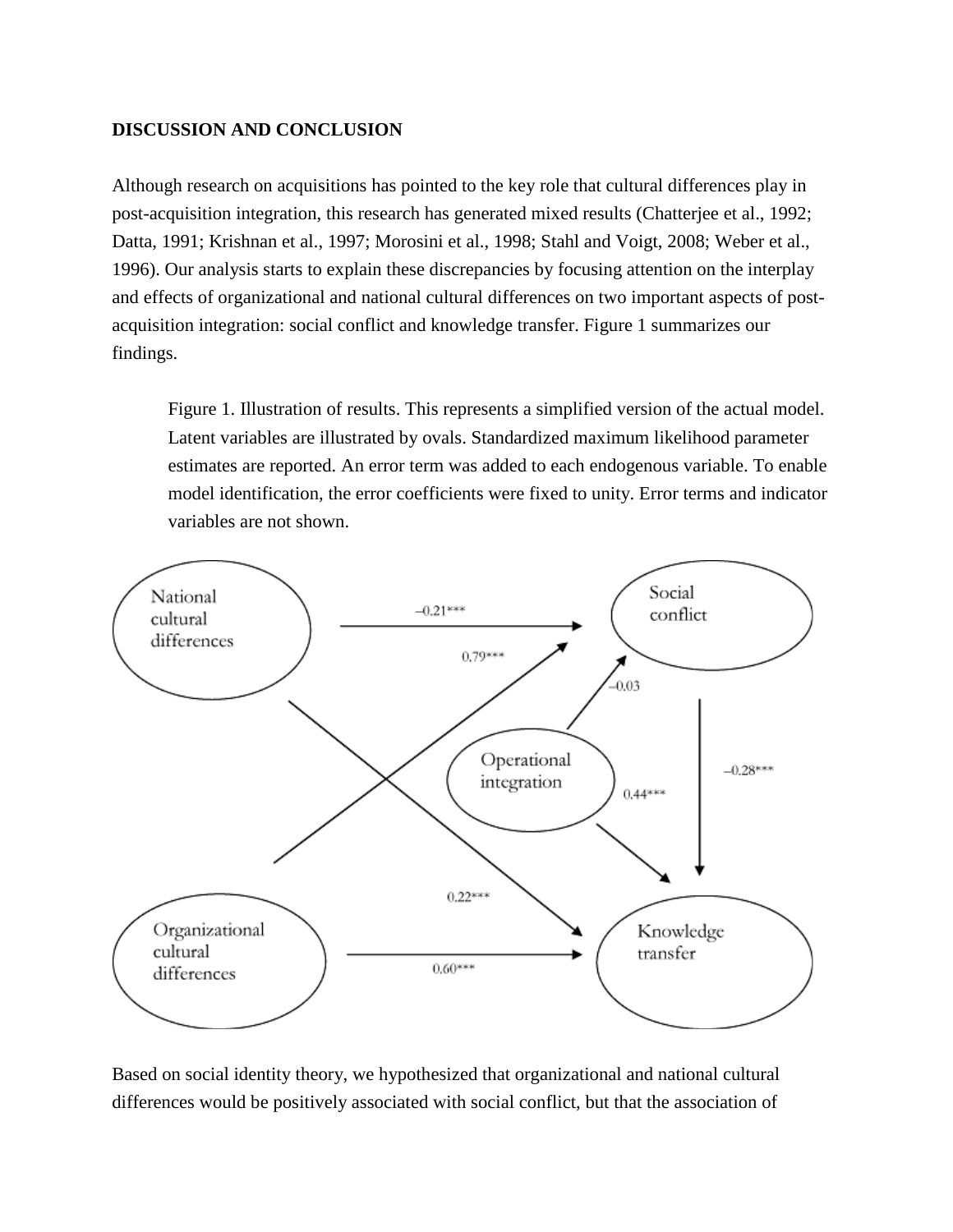### **DISCUSSION AND CONCLUSION**

Although research on acquisitions has pointed to the key role that cultural differences play in post-acquisition integration, this research has generated mixed results (Chatterjee et al., 1992; Datta, 1991; Krishnan et al., 1997; Morosini et al., 1998; Stahl and Voigt, 2008; Weber et al., 1996). Our analysis starts to explain these discrepancies by focusing attention on the interplay and effects of organizational and national cultural differences on two important aspects of postacquisition integration: social conflict and knowledge transfer. Figure 1 summarizes our findings.

Figure 1. Illustration of results. This represents a simplified version of the actual model. Latent variables are illustrated by ovals. Standardized maximum likelihood parameter estimates are reported. An error term was added to each endogenous variable. To enable model identification, the error coefficients were fixed to unity. Error terms and indicator variables are not shown.



Based on social identity theory, we hypothesized that organizational and national cultural differences would be positively associated with social conflict, but that the association of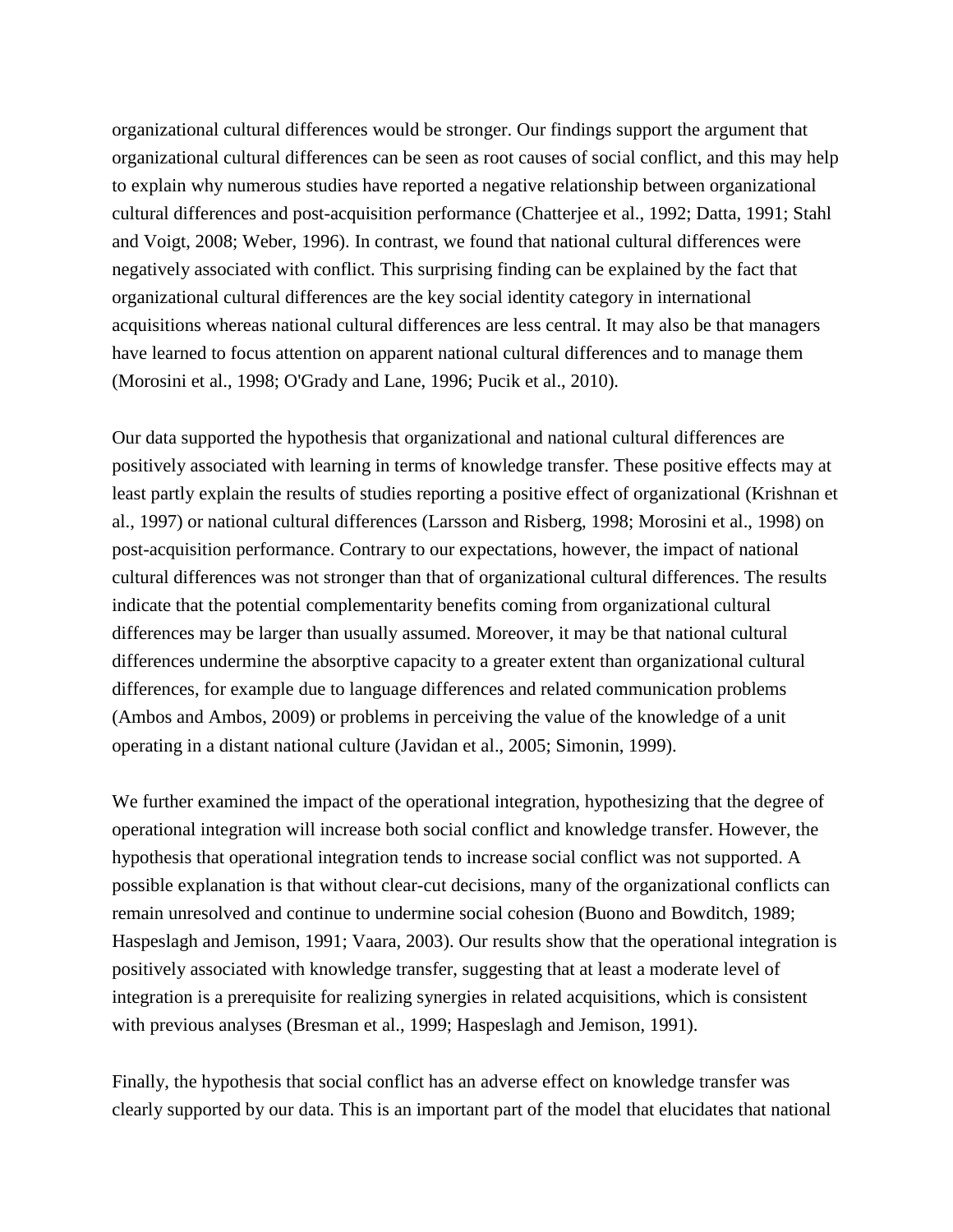organizational cultural differences would be stronger. Our findings support the argument that organizational cultural differences can be seen as root causes of social conflict, and this may help to explain why numerous studies have reported a negative relationship between organizational cultural differences and post-acquisition performance (Chatterjee et al., 1992; Datta, 1991; Stahl and Voigt, 2008; Weber, 1996). In contrast, we found that national cultural differences were negatively associated with conflict. This surprising finding can be explained by the fact that organizational cultural differences are the key social identity category in international acquisitions whereas national cultural differences are less central. It may also be that managers have learned to focus attention on apparent national cultural differences and to manage them (Morosini et al., 1998; O'Grady and Lane, 1996; Pucik et al., 2010).

Our data supported the hypothesis that organizational and national cultural differences are positively associated with learning in terms of knowledge transfer. These positive effects may at least partly explain the results of studies reporting a positive effect of organizational (Krishnan et al., 1997) or national cultural differences (Larsson and Risberg, 1998; Morosini et al., 1998) on post-acquisition performance. Contrary to our expectations, however, the impact of national cultural differences was not stronger than that of organizational cultural differences. The results indicate that the potential complementarity benefits coming from organizational cultural differences may be larger than usually assumed. Moreover, it may be that national cultural differences undermine the absorptive capacity to a greater extent than organizational cultural differences, for example due to language differences and related communication problems (Ambos and Ambos, 2009) or problems in perceiving the value of the knowledge of a unit operating in a distant national culture (Javidan et al., 2005; Simonin, 1999).

We further examined the impact of the operational integration, hypothesizing that the degree of operational integration will increase both social conflict and knowledge transfer. However, the hypothesis that operational integration tends to increase social conflict was not supported. A possible explanation is that without clear-cut decisions, many of the organizational conflicts can remain unresolved and continue to undermine social cohesion (Buono and Bowditch, 1989; Haspeslagh and Jemison, 1991; Vaara, 2003). Our results show that the operational integration is positively associated with knowledge transfer, suggesting that at least a moderate level of integration is a prerequisite for realizing synergies in related acquisitions, which is consistent with previous analyses (Bresman et al., 1999; Haspeslagh and Jemison, 1991).

Finally, the hypothesis that social conflict has an adverse effect on knowledge transfer was clearly supported by our data. This is an important part of the model that elucidates that national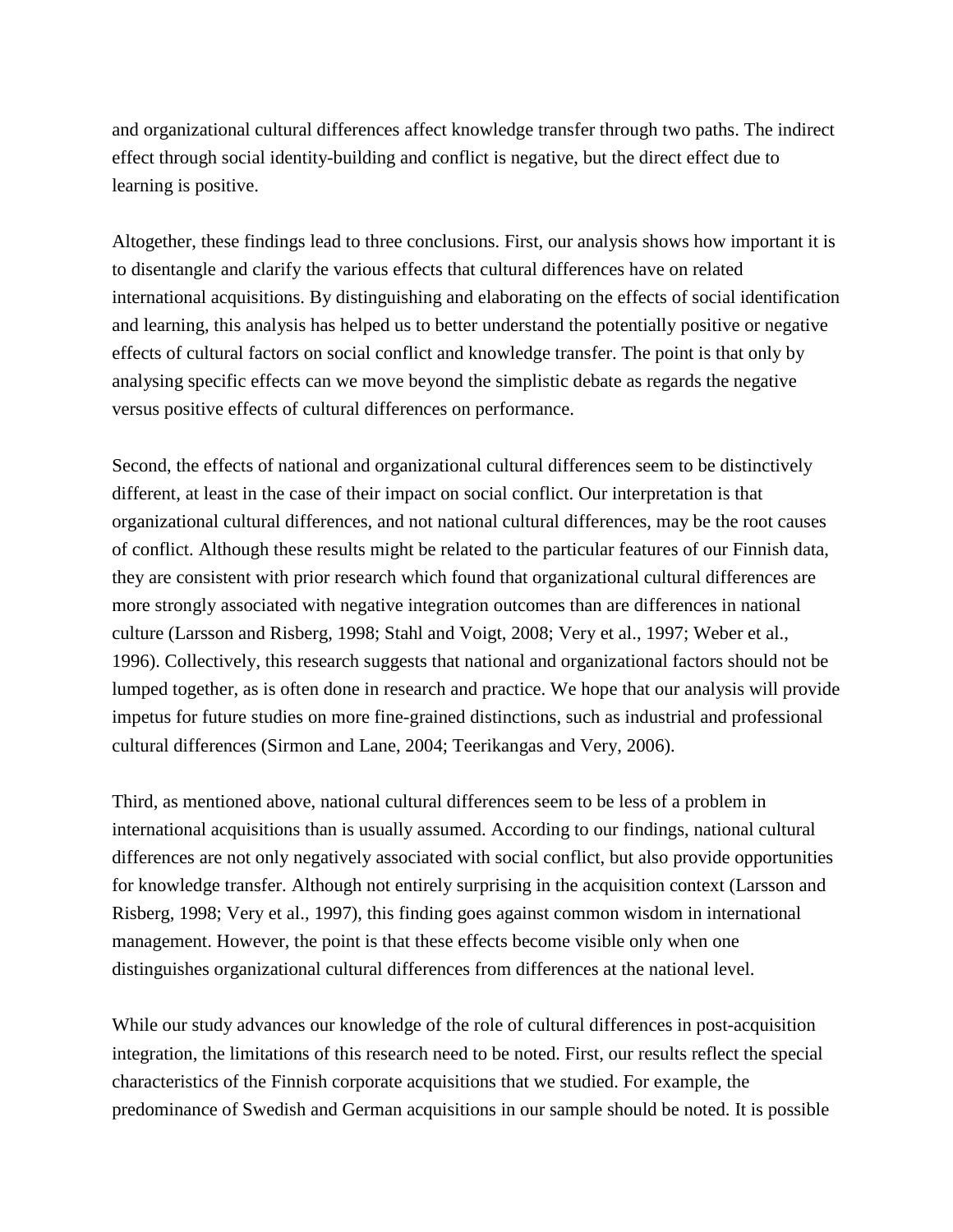and organizational cultural differences affect knowledge transfer through two paths. The indirect effect through social identity-building and conflict is negative, but the direct effect due to learning is positive.

Altogether, these findings lead to three conclusions. First, our analysis shows how important it is to disentangle and clarify the various effects that cultural differences have on related international acquisitions. By distinguishing and elaborating on the effects of social identification and learning, this analysis has helped us to better understand the potentially positive or negative effects of cultural factors on social conflict and knowledge transfer. The point is that only by analysing specific effects can we move beyond the simplistic debate as regards the negative versus positive effects of cultural differences on performance.

Second, the effects of national and organizational cultural differences seem to be distinctively different, at least in the case of their impact on social conflict. Our interpretation is that organizational cultural differences, and not national cultural differences, may be the root causes of conflict. Although these results might be related to the particular features of our Finnish data, they are consistent with prior research which found that organizational cultural differences are more strongly associated with negative integration outcomes than are differences in national culture (Larsson and Risberg, 1998; Stahl and Voigt, 2008; Very et al., 1997; Weber et al., 1996). Collectively, this research suggests that national and organizational factors should not be lumped together, as is often done in research and practice. We hope that our analysis will provide impetus for future studies on more fine-grained distinctions, such as industrial and professional cultural differences (Sirmon and Lane, 2004; Teerikangas and Very, 2006).

Third, as mentioned above, national cultural differences seem to be less of a problem in international acquisitions than is usually assumed. According to our findings, national cultural differences are not only negatively associated with social conflict, but also provide opportunities for knowledge transfer. Although not entirely surprising in the acquisition context (Larsson and Risberg, 1998; Very et al., 1997), this finding goes against common wisdom in international management. However, the point is that these effects become visible only when one distinguishes organizational cultural differences from differences at the national level.

While our study advances our knowledge of the role of cultural differences in post-acquisition integration, the limitations of this research need to be noted. First, our results reflect the special characteristics of the Finnish corporate acquisitions that we studied. For example, the predominance of Swedish and German acquisitions in our sample should be noted. It is possible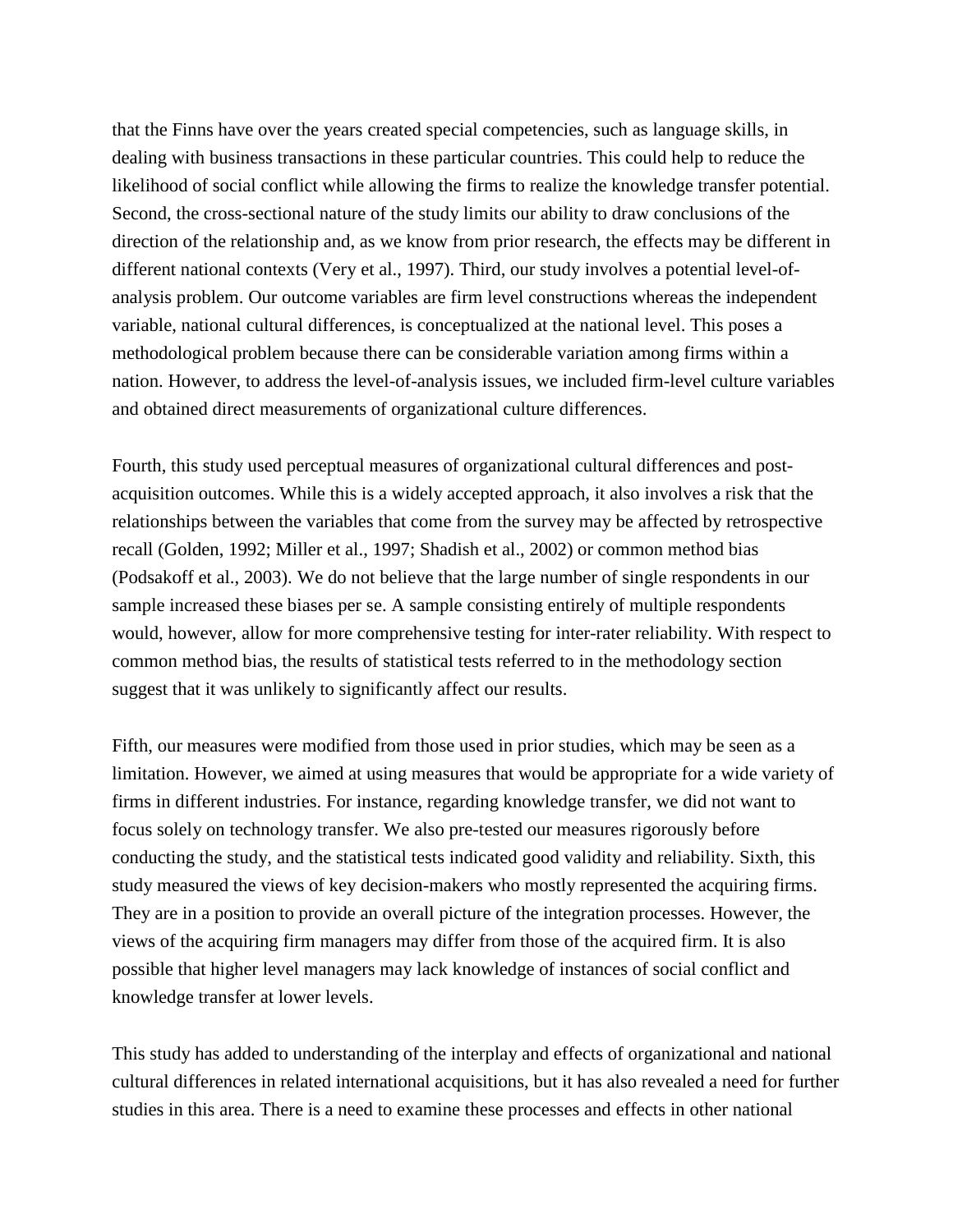that the Finns have over the years created special competencies, such as language skills, in dealing with business transactions in these particular countries. This could help to reduce the likelihood of social conflict while allowing the firms to realize the knowledge transfer potential. Second, the cross-sectional nature of the study limits our ability to draw conclusions of the direction of the relationship and, as we know from prior research, the effects may be different in different national contexts (Very et al., 1997). Third, our study involves a potential level-ofanalysis problem. Our outcome variables are firm level constructions whereas the independent variable, national cultural differences, is conceptualized at the national level. This poses a methodological problem because there can be considerable variation among firms within a nation. However, to address the level-of-analysis issues, we included firm-level culture variables and obtained direct measurements of organizational culture differences.

Fourth, this study used perceptual measures of organizational cultural differences and postacquisition outcomes. While this is a widely accepted approach, it also involves a risk that the relationships between the variables that come from the survey may be affected by retrospective recall (Golden, 1992; Miller et al., 1997; Shadish et al., 2002) or common method bias (Podsakoff et al., 2003). We do not believe that the large number of single respondents in our sample increased these biases per se. A sample consisting entirely of multiple respondents would, however, allow for more comprehensive testing for inter-rater reliability. With respect to common method bias, the results of statistical tests referred to in the methodology section suggest that it was unlikely to significantly affect our results.

Fifth, our measures were modified from those used in prior studies, which may be seen as a limitation. However, we aimed at using measures that would be appropriate for a wide variety of firms in different industries. For instance, regarding knowledge transfer, we did not want to focus solely on technology transfer. We also pre-tested our measures rigorously before conducting the study, and the statistical tests indicated good validity and reliability. Sixth, this study measured the views of key decision-makers who mostly represented the acquiring firms. They are in a position to provide an overall picture of the integration processes. However, the views of the acquiring firm managers may differ from those of the acquired firm. It is also possible that higher level managers may lack knowledge of instances of social conflict and knowledge transfer at lower levels.

This study has added to understanding of the interplay and effects of organizational and national cultural differences in related international acquisitions, but it has also revealed a need for further studies in this area. There is a need to examine these processes and effects in other national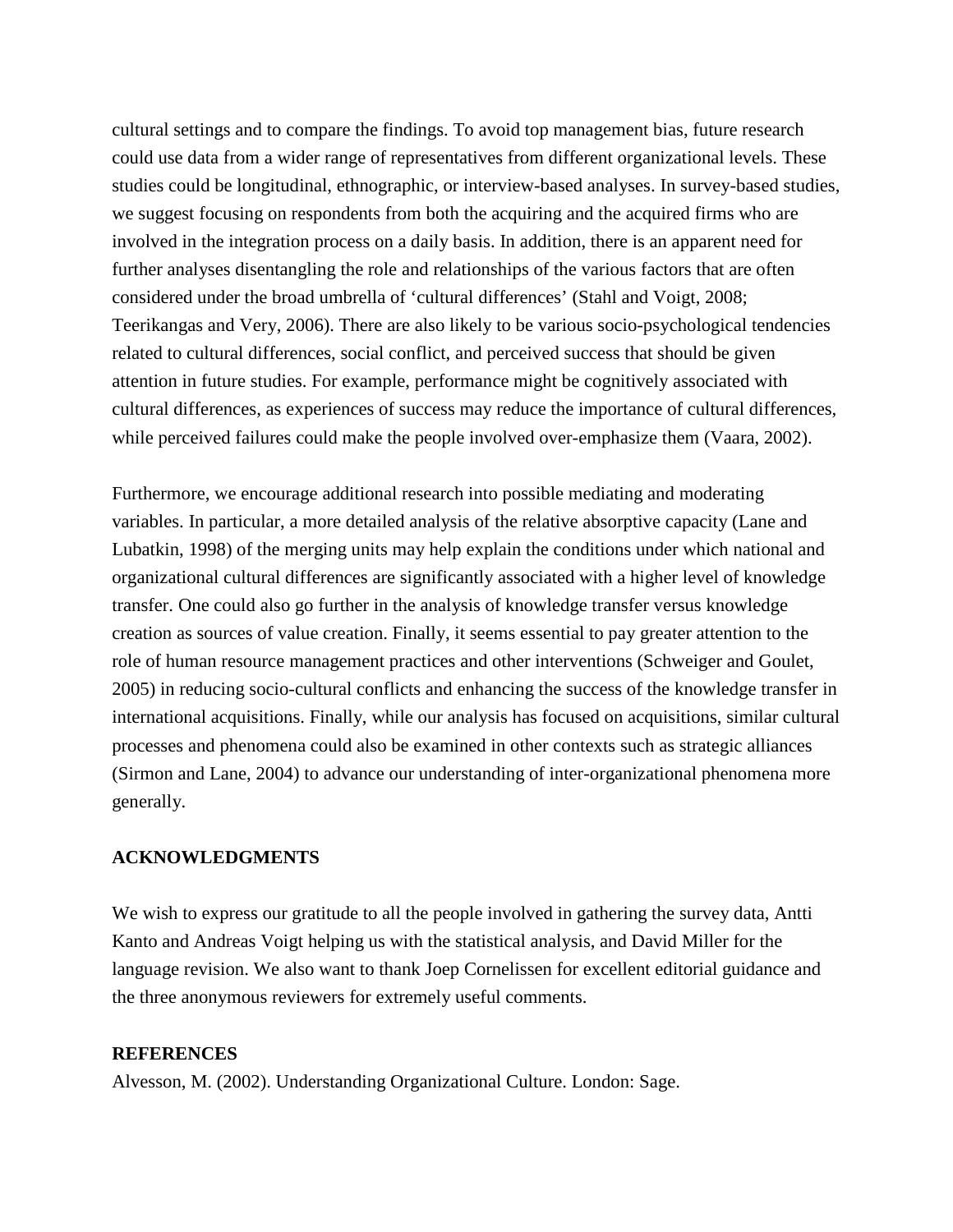cultural settings and to compare the findings. To avoid top management bias, future research could use data from a wider range of representatives from different organizational levels. These studies could be longitudinal, ethnographic, or interview-based analyses. In survey-based studies, we suggest focusing on respondents from both the acquiring and the acquired firms who are involved in the integration process on a daily basis. In addition, there is an apparent need for further analyses disentangling the role and relationships of the various factors that are often considered under the broad umbrella of 'cultural differences' (Stahl and Voigt, 2008; Teerikangas and Very, 2006). There are also likely to be various socio-psychological tendencies related to cultural differences, social conflict, and perceived success that should be given attention in future studies. For example, performance might be cognitively associated with cultural differences, as experiences of success may reduce the importance of cultural differences, while perceived failures could make the people involved over-emphasize them (Vaara, 2002).

Furthermore, we encourage additional research into possible mediating and moderating variables. In particular, a more detailed analysis of the relative absorptive capacity (Lane and Lubatkin, 1998) of the merging units may help explain the conditions under which national and organizational cultural differences are significantly associated with a higher level of knowledge transfer. One could also go further in the analysis of knowledge transfer versus knowledge creation as sources of value creation. Finally, it seems essential to pay greater attention to the role of human resource management practices and other interventions (Schweiger and Goulet, 2005) in reducing socio-cultural conflicts and enhancing the success of the knowledge transfer in international acquisitions. Finally, while our analysis has focused on acquisitions, similar cultural processes and phenomena could also be examined in other contexts such as strategic alliances (Sirmon and Lane, 2004) to advance our understanding of inter-organizational phenomena more generally.

#### **ACKNOWLEDGMENTS**

We wish to express our gratitude to all the people involved in gathering the survey data, Antti Kanto and Andreas Voigt helping us with the statistical analysis, and David Miller for the language revision. We also want to thank Joep Cornelissen for excellent editorial guidance and the three anonymous reviewers for extremely useful comments.

#### **REFERENCES**

Alvesson, M. (2002). Understanding Organizational Culture. London: Sage.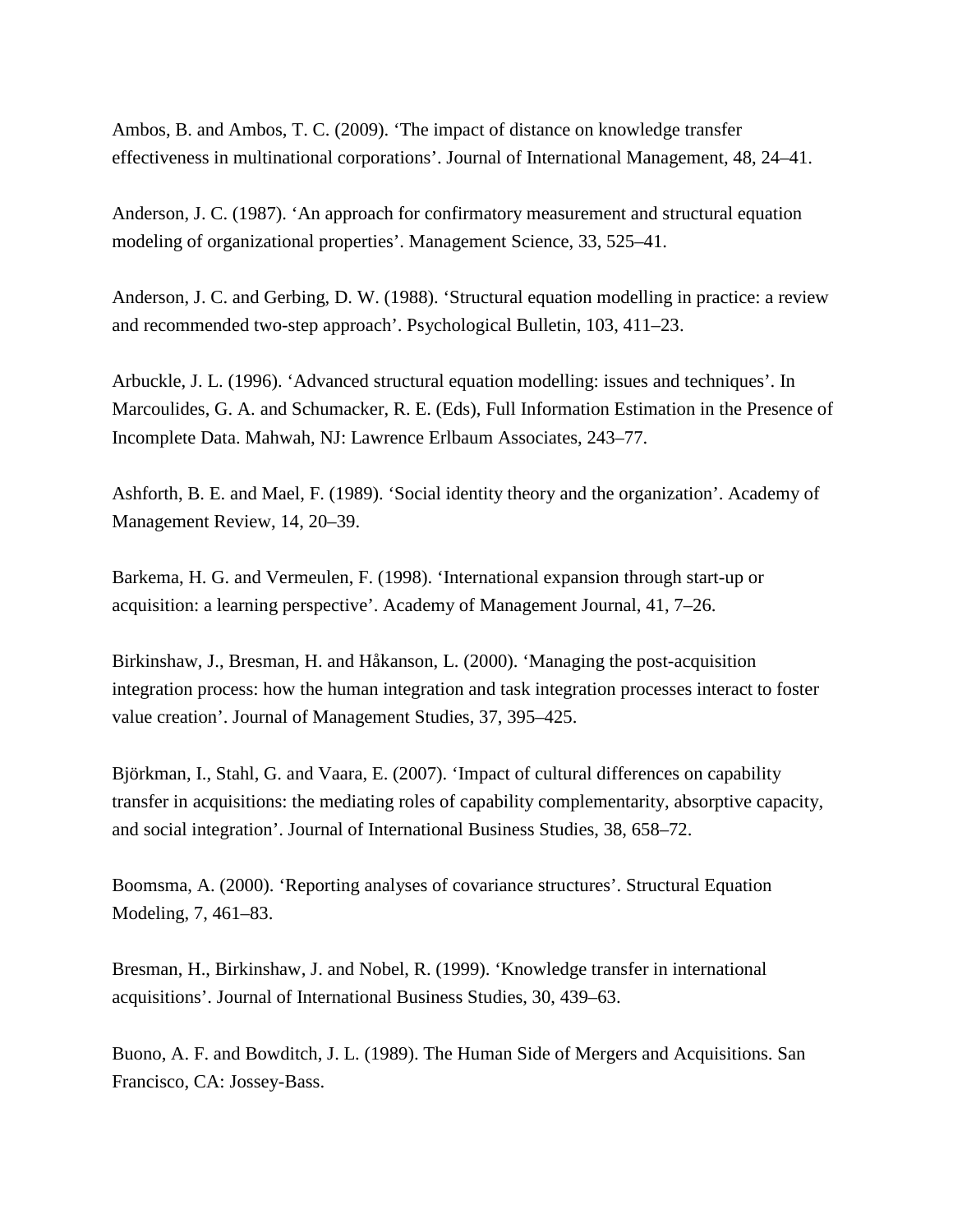Ambos, B. and Ambos, T. C. (2009). 'The impact of distance on knowledge transfer effectiveness in multinational corporations'. Journal of International Management, 48, 24–41.

Anderson, J. C. (1987). 'An approach for confirmatory measurement and structural equation modeling of organizational properties'. Management Science, 33, 525–41.

Anderson, J. C. and Gerbing, D. W. (1988). 'Structural equation modelling in practice: a review and recommended two-step approach'. Psychological Bulletin, 103, 411–23.

Arbuckle, J. L. (1996). 'Advanced structural equation modelling: issues and techniques'. In Marcoulides, G. A. and Schumacker, R. E. (Eds), Full Information Estimation in the Presence of Incomplete Data. Mahwah, NJ: Lawrence Erlbaum Associates, 243–77.

Ashforth, B. E. and Mael, F. (1989). 'Social identity theory and the organization'. Academy of Management Review, 14, 20–39.

Barkema, H. G. and Vermeulen, F. (1998). 'International expansion through start-up or acquisition: a learning perspective'. Academy of Management Journal, 41, 7–26.

Birkinshaw, J., Bresman, H. and Håkanson, L. (2000). 'Managing the post-acquisition integration process: how the human integration and task integration processes interact to foster value creation'. Journal of Management Studies, 37, 395–425.

Björkman, I., Stahl, G. and Vaara, E. (2007). 'Impact of cultural differences on capability transfer in acquisitions: the mediating roles of capability complementarity, absorptive capacity, and social integration'. Journal of International Business Studies, 38, 658–72.

Boomsma, A. (2000). 'Reporting analyses of covariance structures'. Structural Equation Modeling, 7, 461–83.

Bresman, H., Birkinshaw, J. and Nobel, R. (1999). 'Knowledge transfer in international acquisitions'. Journal of International Business Studies, 30, 439–63.

Buono, A. F. and Bowditch, J. L. (1989). The Human Side of Mergers and Acquisitions. San Francisco, CA: Jossey-Bass.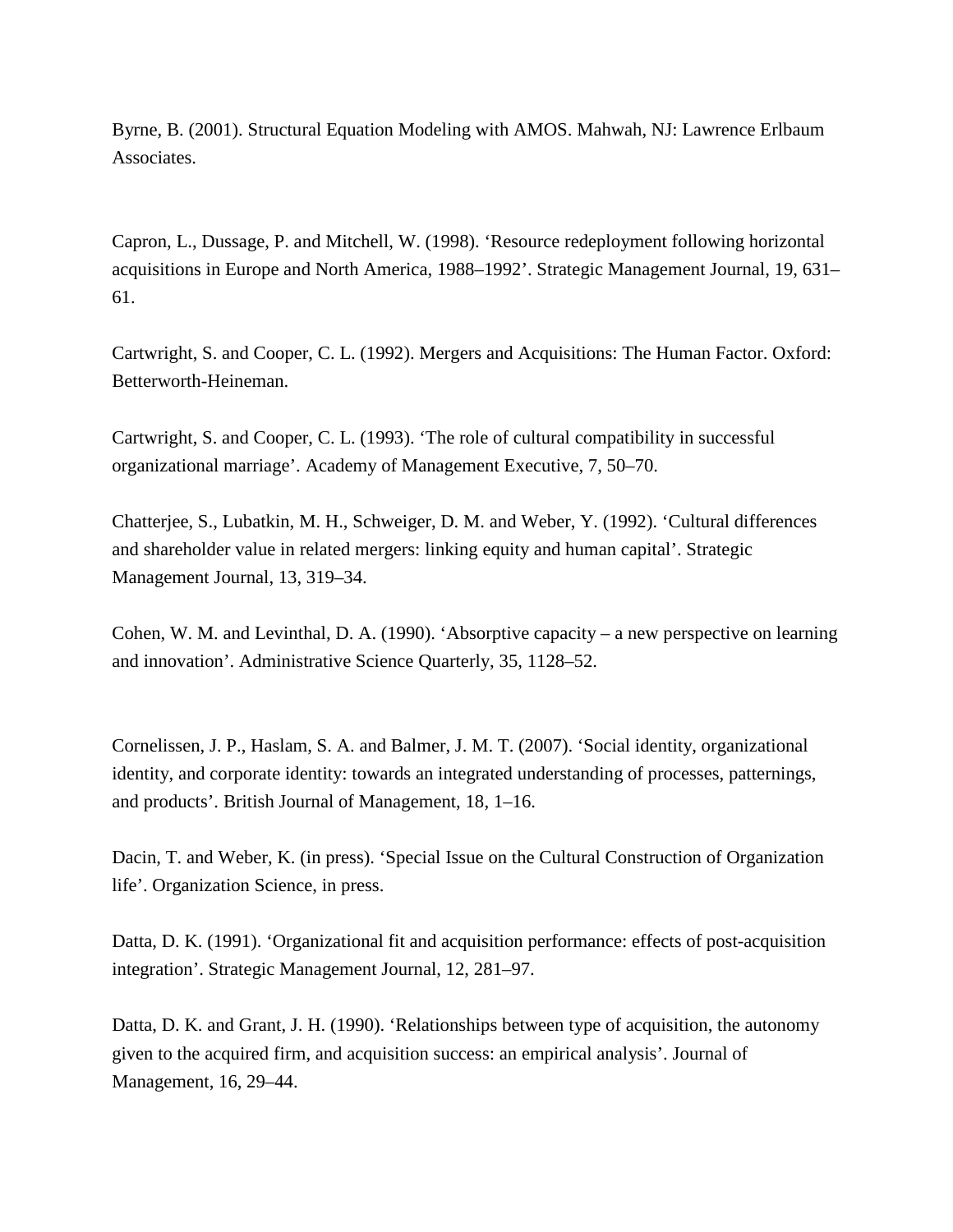Byrne, B. (2001). Structural Equation Modeling with AMOS. Mahwah, NJ: Lawrence Erlbaum Associates.

Capron, L., Dussage, P. and Mitchell, W. (1998). 'Resource redeployment following horizontal acquisitions in Europe and North America, 1988–1992'. Strategic Management Journal, 19, 631– 61.

Cartwright, S. and Cooper, C. L. (1992). Mergers and Acquisitions: The Human Factor. Oxford: Betterworth-Heineman.

Cartwright, S. and Cooper, C. L. (1993). 'The role of cultural compatibility in successful organizational marriage'. Academy of Management Executive, 7, 50–70.

Chatterjee, S., Lubatkin, M. H., Schweiger, D. M. and Weber, Y. (1992). 'Cultural differences and shareholder value in related mergers: linking equity and human capital'. Strategic Management Journal, 13, 319–34.

Cohen, W. M. and Levinthal, D. A. (1990). 'Absorptive capacity – a new perspective on learning and innovation'. Administrative Science Quarterly, 35, 1128–52.

Cornelissen, J. P., Haslam, S. A. and Balmer, J. M. T. (2007). 'Social identity, organizational identity, and corporate identity: towards an integrated understanding of processes, patternings, and products'. British Journal of Management, 18, 1–16.

Dacin, T. and Weber, K. (in press). 'Special Issue on the Cultural Construction of Organization life'. Organization Science, in press.

Datta, D. K. (1991). 'Organizational fit and acquisition performance: effects of post-acquisition integration'. Strategic Management Journal, 12, 281–97.

Datta, D. K. and Grant, J. H. (1990). 'Relationships between type of acquisition, the autonomy given to the acquired firm, and acquisition success: an empirical analysis'. Journal of Management, 16, 29–44.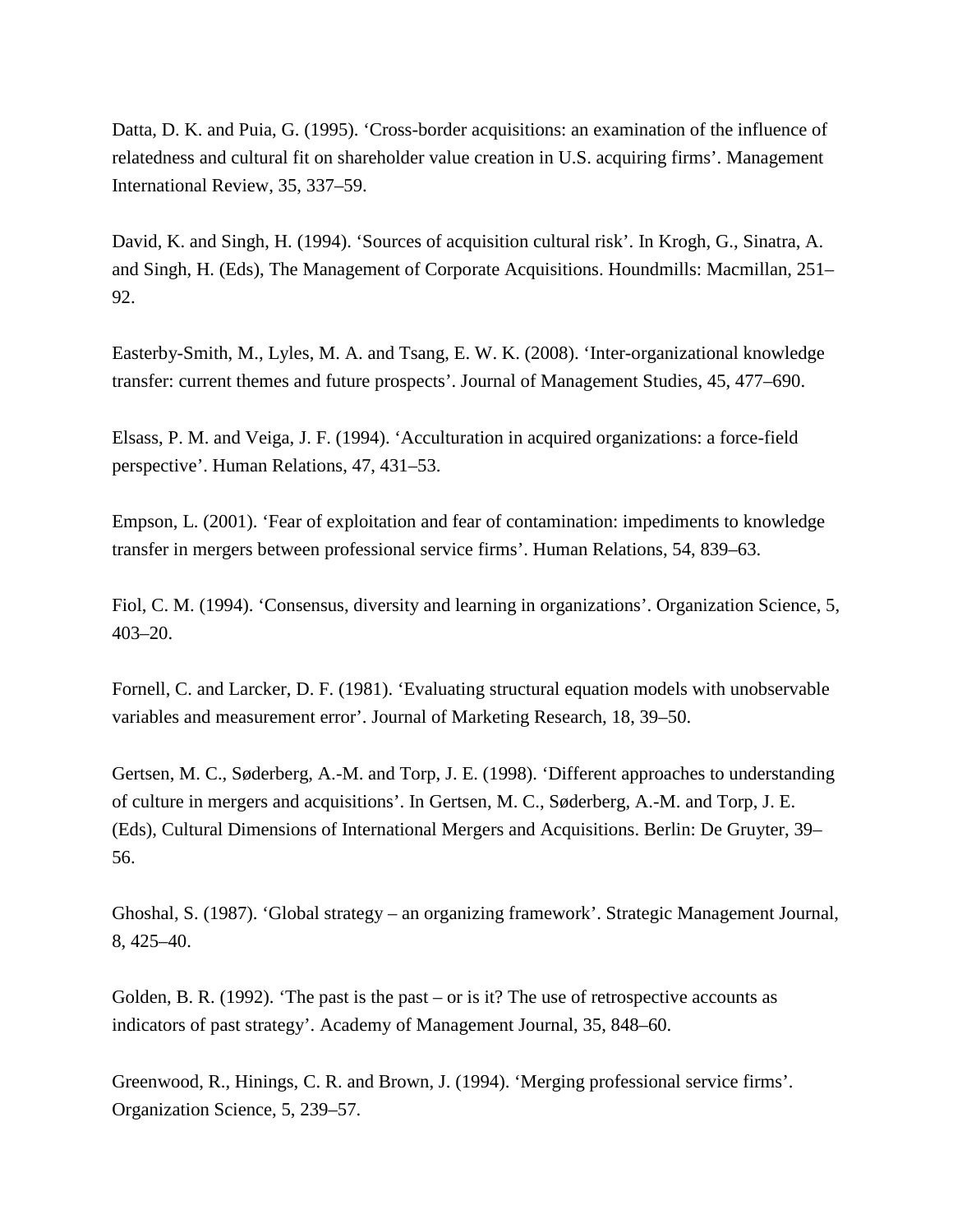Datta, D. K. and Puia, G. (1995). 'Cross-border acquisitions: an examination of the influence of relatedness and cultural fit on shareholder value creation in U.S. acquiring firms'. Management International Review, 35, 337–59.

David, K. and Singh, H. (1994). 'Sources of acquisition cultural risk'. In Krogh, G., Sinatra, A. and Singh, H. (Eds), The Management of Corporate Acquisitions. Houndmills: Macmillan, 251– 92.

Easterby-Smith, M., Lyles, M. A. and Tsang, E. W. K. (2008). 'Inter-organizational knowledge transfer: current themes and future prospects'. Journal of Management Studies, 45, 477–690.

Elsass, P. M. and Veiga, J. F. (1994). 'Acculturation in acquired organizations: a force-field perspective'. Human Relations, 47, 431–53.

Empson, L. (2001). 'Fear of exploitation and fear of contamination: impediments to knowledge transfer in mergers between professional service firms'. Human Relations, 54, 839–63.

Fiol, C. M. (1994). 'Consensus, diversity and learning in organizations'. Organization Science, 5, 403–20.

Fornell, C. and Larcker, D. F. (1981). 'Evaluating structural equation models with unobservable variables and measurement error'. Journal of Marketing Research, 18, 39–50.

Gertsen, M. C., Søderberg, A.-M. and Torp, J. E. (1998). 'Different approaches to understanding of culture in mergers and acquisitions'. In Gertsen, M. C., Søderberg, A.-M. and Torp, J. E. (Eds), Cultural Dimensions of International Mergers and Acquisitions. Berlin: De Gruyter, 39– 56.

Ghoshal, S. (1987). 'Global strategy – an organizing framework'. Strategic Management Journal, 8, 425–40.

Golden, B. R. (1992). 'The past is the past – or is it? The use of retrospective accounts as indicators of past strategy'. Academy of Management Journal, 35, 848–60.

Greenwood, R., Hinings, C. R. and Brown, J. (1994). 'Merging professional service firms'. Organization Science, 5, 239–57.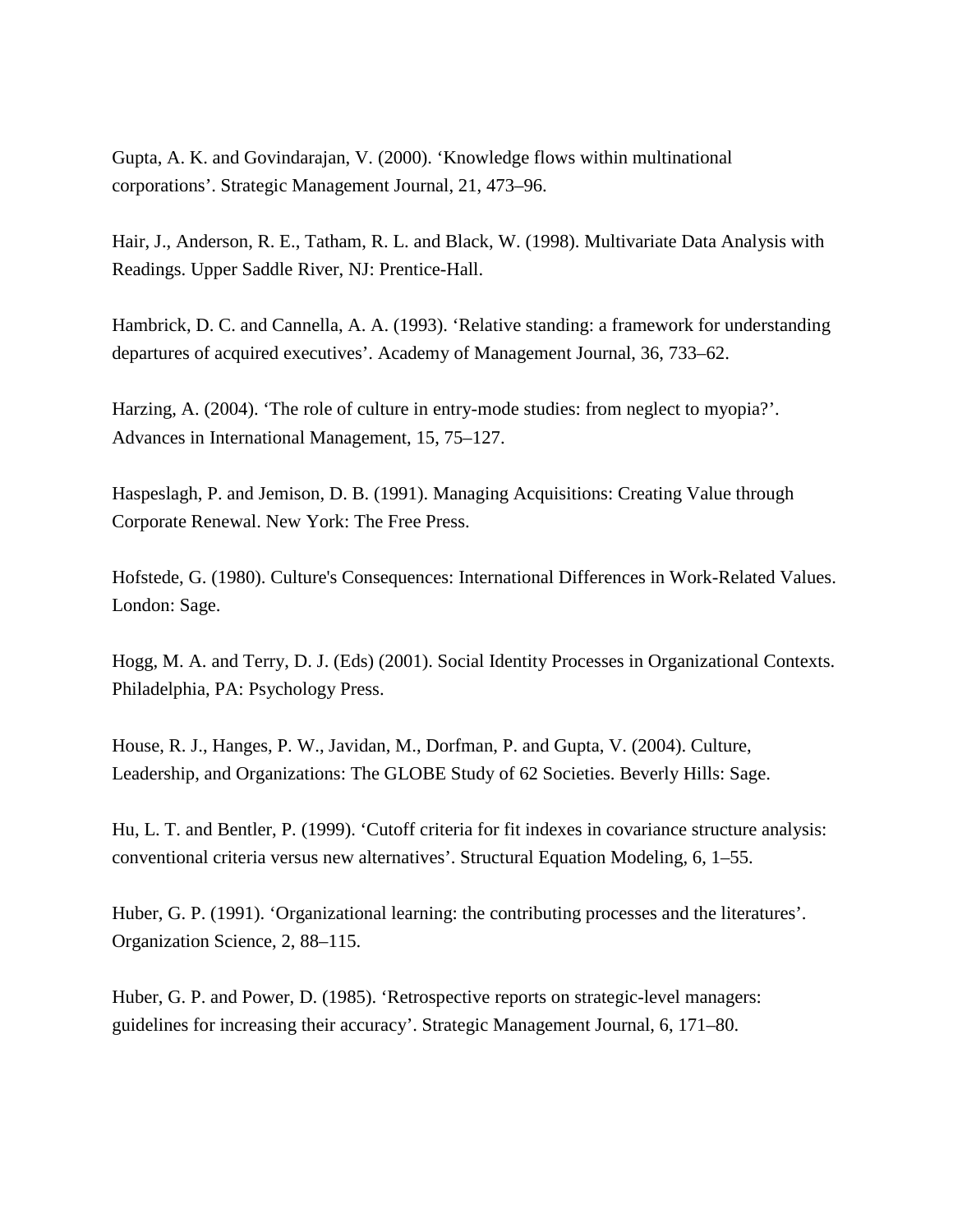Gupta, A. K. and Govindarajan, V. (2000). 'Knowledge flows within multinational corporations'. Strategic Management Journal, 21, 473–96.

Hair, J., Anderson, R. E., Tatham, R. L. and Black, W. (1998). Multivariate Data Analysis with Readings. Upper Saddle River, NJ: Prentice-Hall.

Hambrick, D. C. and Cannella, A. A. (1993). 'Relative standing: a framework for understanding departures of acquired executives'. Academy of Management Journal, 36, 733–62.

Harzing, A. (2004). 'The role of culture in entry-mode studies: from neglect to myopia?'. Advances in International Management, 15, 75–127.

Haspeslagh, P. and Jemison, D. B. (1991). Managing Acquisitions: Creating Value through Corporate Renewal. New York: The Free Press.

Hofstede, G. (1980). Culture's Consequences: International Differences in Work-Related Values. London: Sage.

Hogg, M. A. and Terry, D. J. (Eds) (2001). Social Identity Processes in Organizational Contexts. Philadelphia, PA: Psychology Press.

House, R. J., Hanges, P. W., Javidan, M., Dorfman, P. and Gupta, V. (2004). Culture, Leadership, and Organizations: The GLOBE Study of 62 Societies. Beverly Hills: Sage.

Hu, L. T. and Bentler, P. (1999). 'Cutoff criteria for fit indexes in covariance structure analysis: conventional criteria versus new alternatives'. Structural Equation Modeling, 6, 1–55.

Huber, G. P. (1991). 'Organizational learning: the contributing processes and the literatures'. Organization Science, 2, 88–115.

Huber, G. P. and Power, D. (1985). 'Retrospective reports on strategic-level managers: guidelines for increasing their accuracy'. Strategic Management Journal, 6, 171–80.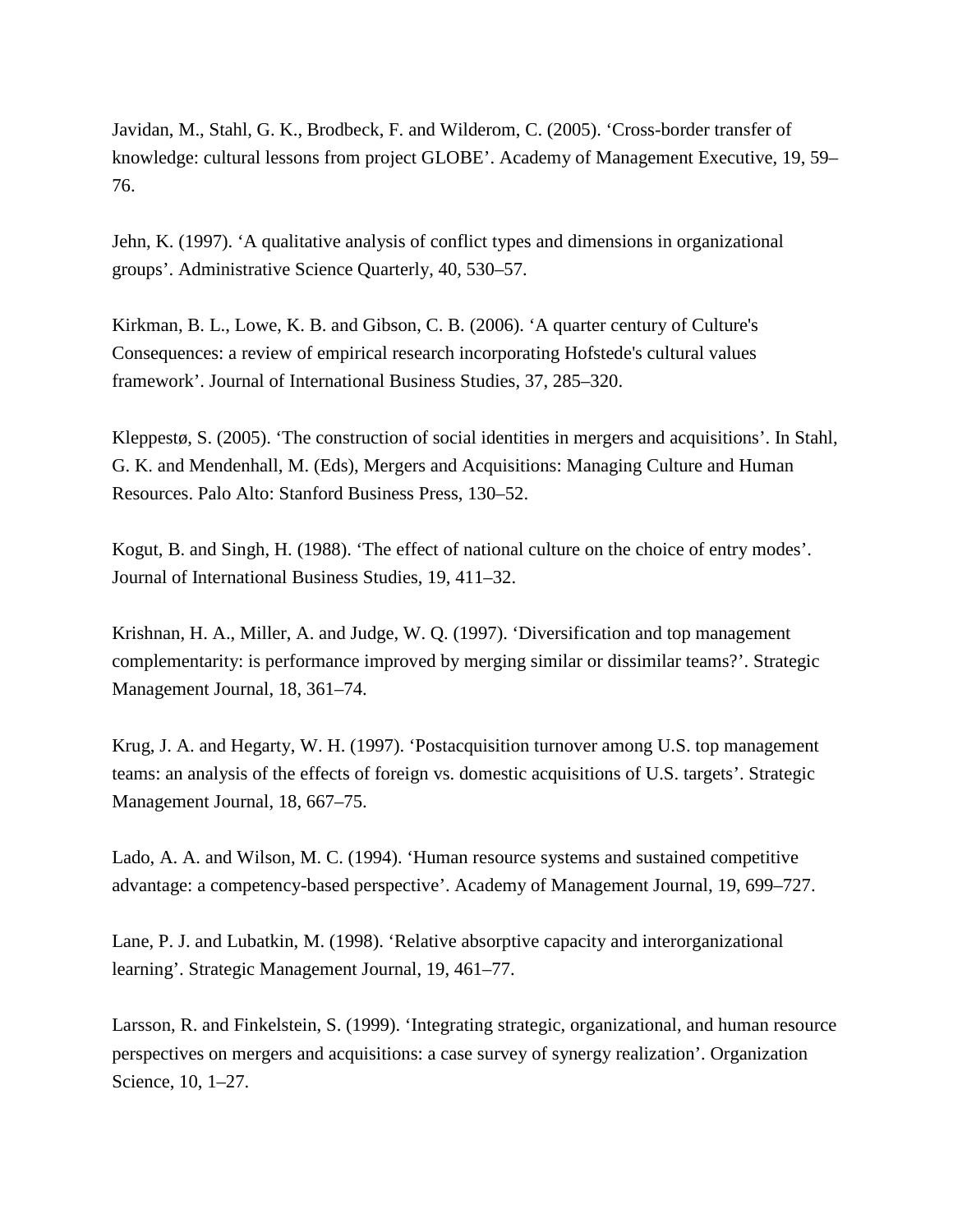Javidan, M., Stahl, G. K., Brodbeck, F. and Wilderom, C. (2005). 'Cross-border transfer of knowledge: cultural lessons from project GLOBE'. Academy of Management Executive, 19, 59– 76.

Jehn, K. (1997). 'A qualitative analysis of conflict types and dimensions in organizational groups'. Administrative Science Quarterly, 40, 530–57.

Kirkman, B. L., Lowe, K. B. and Gibson, C. B. (2006). 'A quarter century of Culture's Consequences: a review of empirical research incorporating Hofstede's cultural values framework'. Journal of International Business Studies, 37, 285–320.

Kleppestø, S. (2005). 'The construction of social identities in mergers and acquisitions'. In Stahl, G. K. and Mendenhall, M. (Eds), Mergers and Acquisitions: Managing Culture and Human Resources. Palo Alto: Stanford Business Press, 130–52.

Kogut, B. and Singh, H. (1988). 'The effect of national culture on the choice of entry modes'. Journal of International Business Studies, 19, 411–32.

Krishnan, H. A., Miller, A. and Judge, W. Q. (1997). 'Diversification and top management complementarity: is performance improved by merging similar or dissimilar teams?'. Strategic Management Journal, 18, 361–74.

Krug, J. A. and Hegarty, W. H. (1997). 'Postacquisition turnover among U.S. top management teams: an analysis of the effects of foreign vs. domestic acquisitions of U.S. targets'. Strategic Management Journal, 18, 667–75.

Lado, A. A. and Wilson, M. C. (1994). 'Human resource systems and sustained competitive advantage: a competency-based perspective'. Academy of Management Journal, 19, 699–727.

Lane, P. J. and Lubatkin, M. (1998). 'Relative absorptive capacity and interorganizational learning'. Strategic Management Journal, 19, 461–77.

Larsson, R. and Finkelstein, S. (1999). 'Integrating strategic, organizational, and human resource perspectives on mergers and acquisitions: a case survey of synergy realization'. Organization Science, 10, 1–27.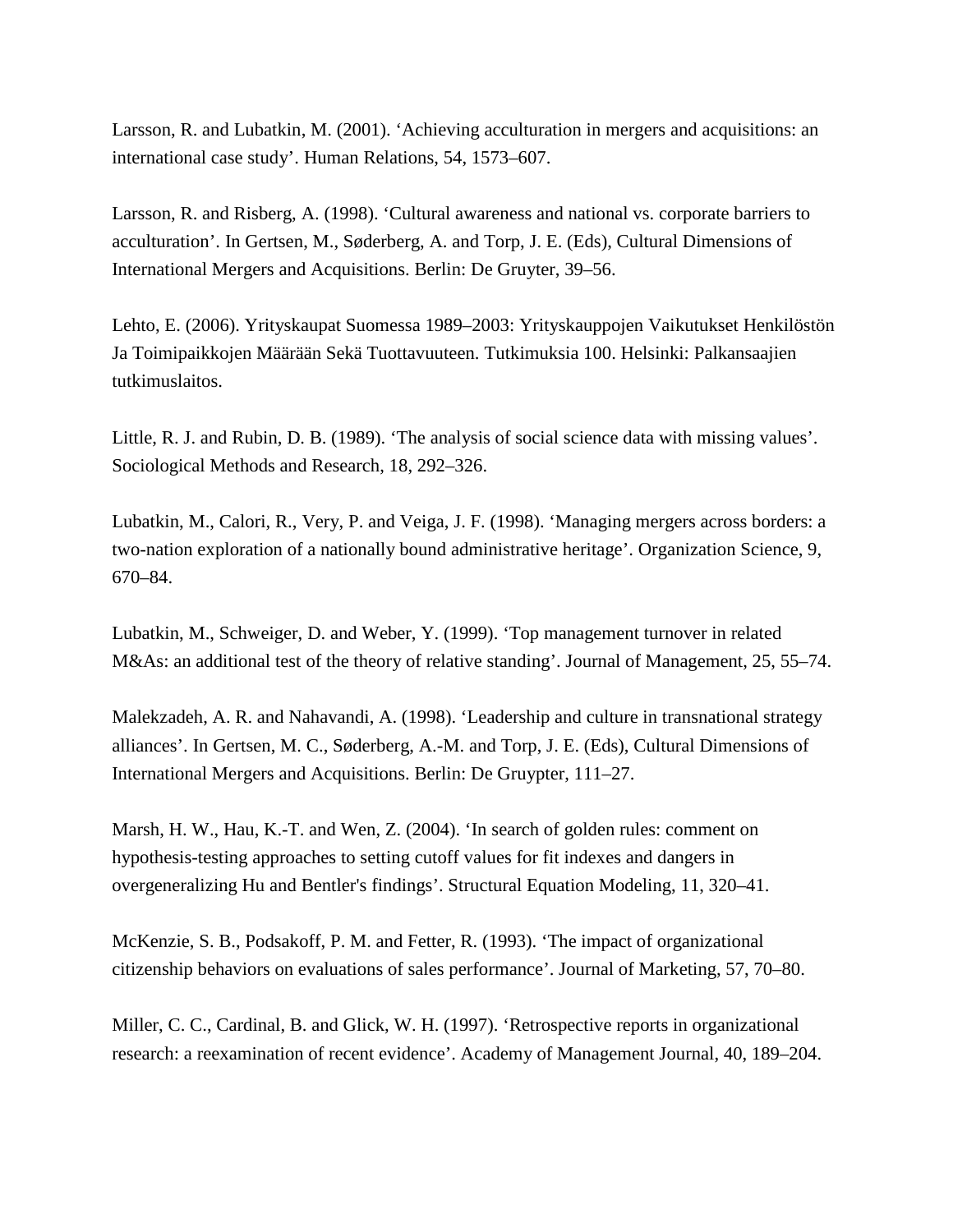Larsson, R. and Lubatkin, M. (2001). 'Achieving acculturation in mergers and acquisitions: an international case study'. Human Relations, 54, 1573–607.

Larsson, R. and Risberg, A. (1998). 'Cultural awareness and national vs. corporate barriers to acculturation'. In Gertsen, M., Søderberg, A. and Torp, J. E. (Eds), Cultural Dimensions of International Mergers and Acquisitions. Berlin: De Gruyter, 39–56.

Lehto, E. (2006). Yrityskaupat Suomessa 1989–2003: Yrityskauppojen Vaikutukset Henkilöstön Ja Toimipaikkojen Määrään Sekä Tuottavuuteen. Tutkimuksia 100. Helsinki: Palkansaajien tutkimuslaitos.

Little, R. J. and Rubin, D. B. (1989). 'The analysis of social science data with missing values'. Sociological Methods and Research, 18, 292–326.

Lubatkin, M., Calori, R., Very, P. and Veiga, J. F. (1998). 'Managing mergers across borders: a two-nation exploration of a nationally bound administrative heritage'. Organization Science, 9, 670–84.

Lubatkin, M., Schweiger, D. and Weber, Y. (1999). 'Top management turnover in related M&As: an additional test of the theory of relative standing'. Journal of Management, 25, 55–74.

Malekzadeh, A. R. and Nahavandi, A. (1998). 'Leadership and culture in transnational strategy alliances'. In Gertsen, M. C., Søderberg, A.-M. and Torp, J. E. (Eds), Cultural Dimensions of International Mergers and Acquisitions. Berlin: De Gruypter, 111–27.

Marsh, H. W., Hau, K.-T. and Wen, Z. (2004). 'In search of golden rules: comment on hypothesis-testing approaches to setting cutoff values for fit indexes and dangers in overgeneralizing Hu and Bentler's findings'. Structural Equation Modeling, 11, 320–41.

McKenzie, S. B., Podsakoff, P. M. and Fetter, R. (1993). 'The impact of organizational citizenship behaviors on evaluations of sales performance'. Journal of Marketing, 57, 70–80.

Miller, C. C., Cardinal, B. and Glick, W. H. (1997). 'Retrospective reports in organizational research: a reexamination of recent evidence'. Academy of Management Journal, 40, 189–204.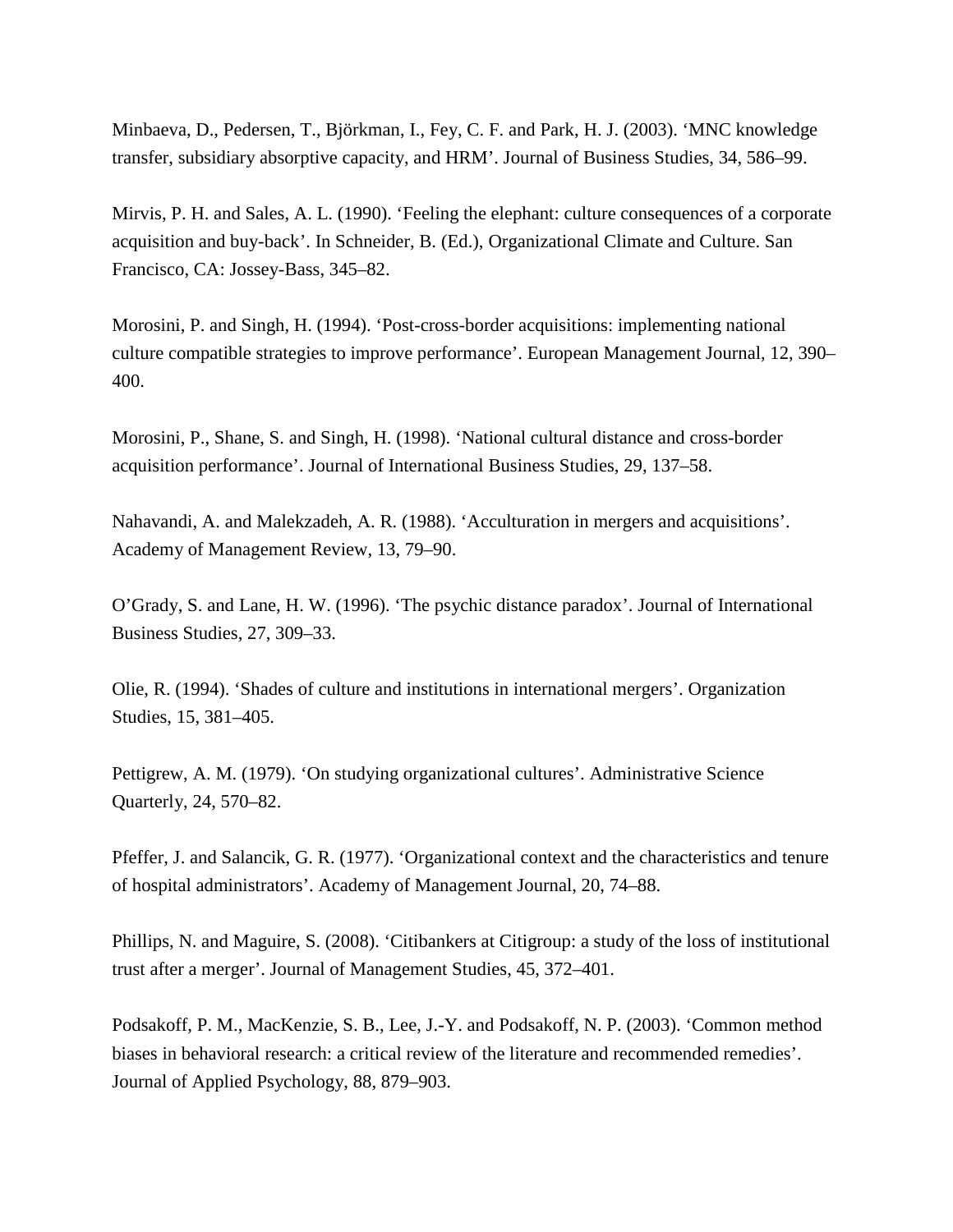Minbaeva, D., Pedersen, T., Björkman, I., Fey, C. F. and Park, H. J. (2003). 'MNC knowledge transfer, subsidiary absorptive capacity, and HRM'. Journal of Business Studies, 34, 586–99.

Mirvis, P. H. and Sales, A. L. (1990). 'Feeling the elephant: culture consequences of a corporate acquisition and buy-back'. In Schneider, B. (Ed.), Organizational Climate and Culture. San Francisco, CA: Jossey-Bass, 345–82.

Morosini, P. and Singh, H. (1994). 'Post-cross-border acquisitions: implementing national culture compatible strategies to improve performance'. European Management Journal, 12, 390– 400.

Morosini, P., Shane, S. and Singh, H. (1998). 'National cultural distance and cross-border acquisition performance'. Journal of International Business Studies, 29, 137–58.

Nahavandi, A. and Malekzadeh, A. R. (1988). 'Acculturation in mergers and acquisitions'. Academy of Management Review, 13, 79–90.

O'Grady, S. and Lane, H. W. (1996). 'The psychic distance paradox'. Journal of International Business Studies, 27, 309–33.

Olie, R. (1994). 'Shades of culture and institutions in international mergers'. Organization Studies, 15, 381–405.

Pettigrew, A. M. (1979). 'On studying organizational cultures'. Administrative Science Quarterly, 24, 570–82.

Pfeffer, J. and Salancik, G. R. (1977). 'Organizational context and the characteristics and tenure of hospital administrators'. Academy of Management Journal, 20, 74–88.

Phillips, N. and Maguire, S. (2008). 'Citibankers at Citigroup: a study of the loss of institutional trust after a merger'. Journal of Management Studies, 45, 372–401.

Podsakoff, P. M., MacKenzie, S. B., Lee, J.-Y. and Podsakoff, N. P. (2003). 'Common method biases in behavioral research: a critical review of the literature and recommended remedies'. Journal of Applied Psychology, 88, 879–903.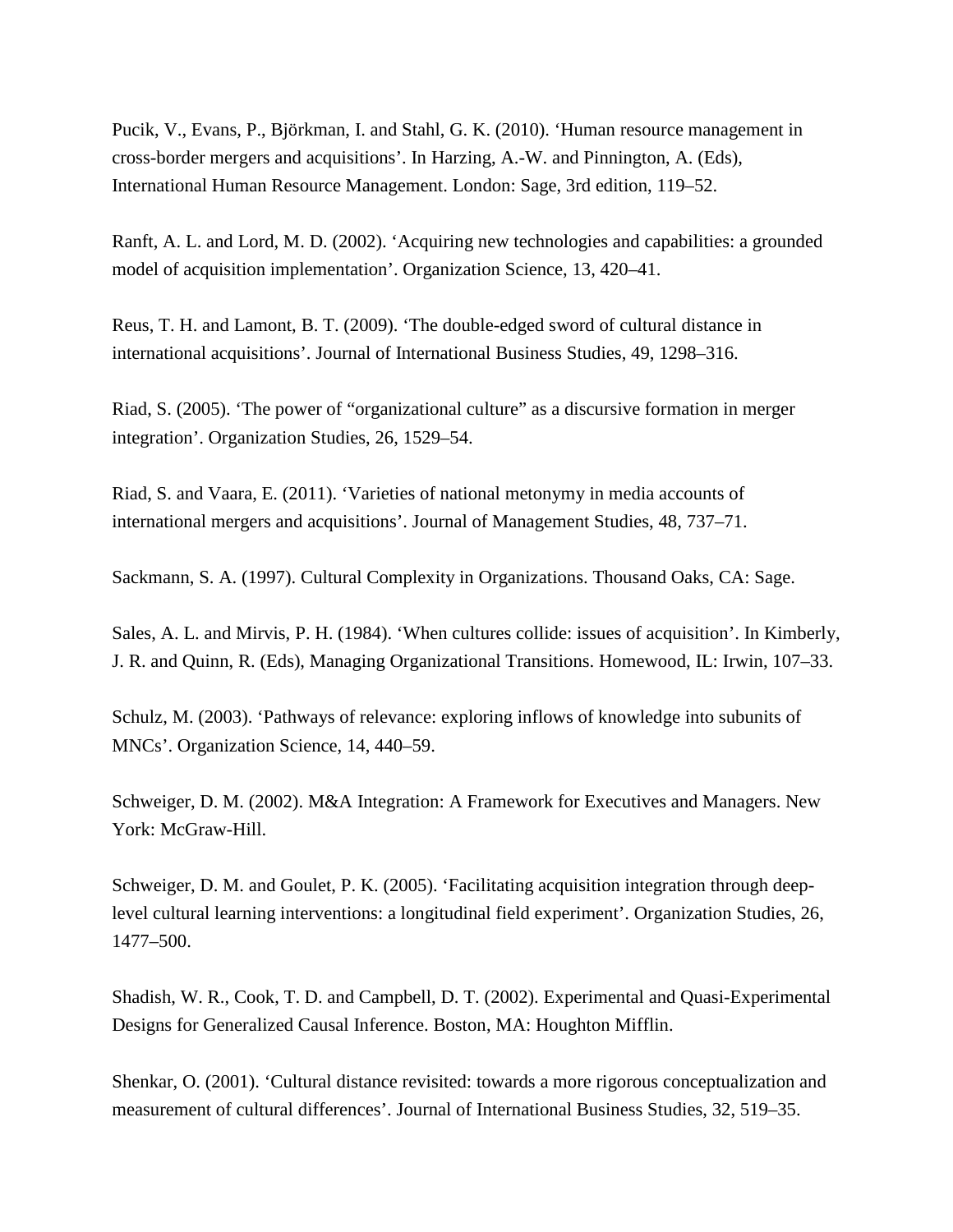Pucik, V., Evans, P., Björkman, I. and Stahl, G. K. (2010). 'Human resource management in cross-border mergers and acquisitions'. In Harzing, A.-W. and Pinnington, A. (Eds), International Human Resource Management. London: Sage, 3rd edition, 119–52.

Ranft, A. L. and Lord, M. D. (2002). 'Acquiring new technologies and capabilities: a grounded model of acquisition implementation'. Organization Science, 13, 420–41.

Reus, T. H. and Lamont, B. T. (2009). 'The double-edged sword of cultural distance in international acquisitions'. Journal of International Business Studies, 49, 1298–316.

Riad, S. (2005). 'The power of "organizational culture" as a discursive formation in merger integration'. Organization Studies, 26, 1529–54.

Riad, S. and Vaara, E. (2011). 'Varieties of national metonymy in media accounts of international mergers and acquisitions'. Journal of Management Studies, 48, 737–71.

Sackmann, S. A. (1997). Cultural Complexity in Organizations. Thousand Oaks, CA: Sage.

Sales, A. L. and Mirvis, P. H. (1984). 'When cultures collide: issues of acquisition'. In Kimberly, J. R. and Quinn, R. (Eds), Managing Organizational Transitions. Homewood, IL: Irwin, 107–33.

Schulz, M. (2003). 'Pathways of relevance: exploring inflows of knowledge into subunits of MNCs'. Organization Science, 14, 440–59.

Schweiger, D. M. (2002). M&A Integration: A Framework for Executives and Managers. New York: McGraw-Hill.

Schweiger, D. M. and Goulet, P. K. (2005). 'Facilitating acquisition integration through deeplevel cultural learning interventions: a longitudinal field experiment'. Organization Studies, 26, 1477–500.

Shadish, W. R., Cook, T. D. and Campbell, D. T. (2002). Experimental and Quasi-Experimental Designs for Generalized Causal Inference. Boston, MA: Houghton Mifflin.

Shenkar, O. (2001). 'Cultural distance revisited: towards a more rigorous conceptualization and measurement of cultural differences'. Journal of International Business Studies, 32, 519–35.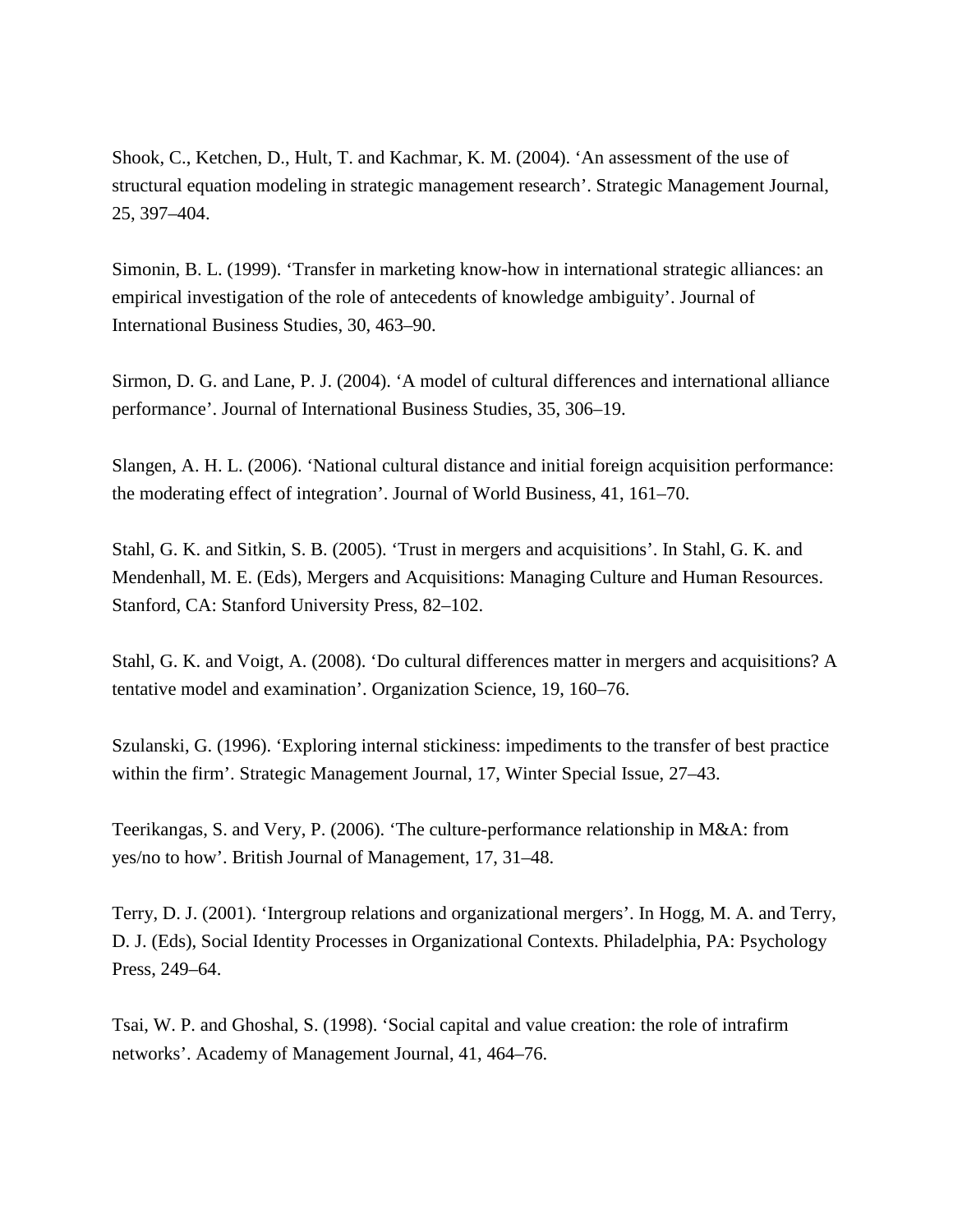Shook, C., Ketchen, D., Hult, T. and Kachmar, K. M. (2004). 'An assessment of the use of structural equation modeling in strategic management research'. Strategic Management Journal, 25, 397–404.

Simonin, B. L. (1999). 'Transfer in marketing know-how in international strategic alliances: an empirical investigation of the role of antecedents of knowledge ambiguity'. Journal of International Business Studies, 30, 463–90.

Sirmon, D. G. and Lane, P. J. (2004). 'A model of cultural differences and international alliance performance'. Journal of International Business Studies, 35, 306–19.

Slangen, A. H. L. (2006). 'National cultural distance and initial foreign acquisition performance: the moderating effect of integration'. Journal of World Business, 41, 161–70.

Stahl, G. K. and Sitkin, S. B. (2005). 'Trust in mergers and acquisitions'. In Stahl, G. K. and Mendenhall, M. E. (Eds), Mergers and Acquisitions: Managing Culture and Human Resources. Stanford, CA: Stanford University Press, 82–102.

Stahl, G. K. and Voigt, A. (2008). 'Do cultural differences matter in mergers and acquisitions? A tentative model and examination'. Organization Science, 19, 160–76.

Szulanski, G. (1996). 'Exploring internal stickiness: impediments to the transfer of best practice within the firm'. Strategic Management Journal, 17, Winter Special Issue, 27–43.

Teerikangas, S. and Very, P. (2006). 'The culture-performance relationship in M&A: from yes/no to how'. British Journal of Management, 17, 31–48.

Terry, D. J. (2001). 'Intergroup relations and organizational mergers'. In Hogg, M. A. and Terry, D. J. (Eds), Social Identity Processes in Organizational Contexts. Philadelphia, PA: Psychology Press, 249–64.

Tsai, W. P. and Ghoshal, S. (1998). 'Social capital and value creation: the role of intrafirm networks'. Academy of Management Journal, 41, 464–76.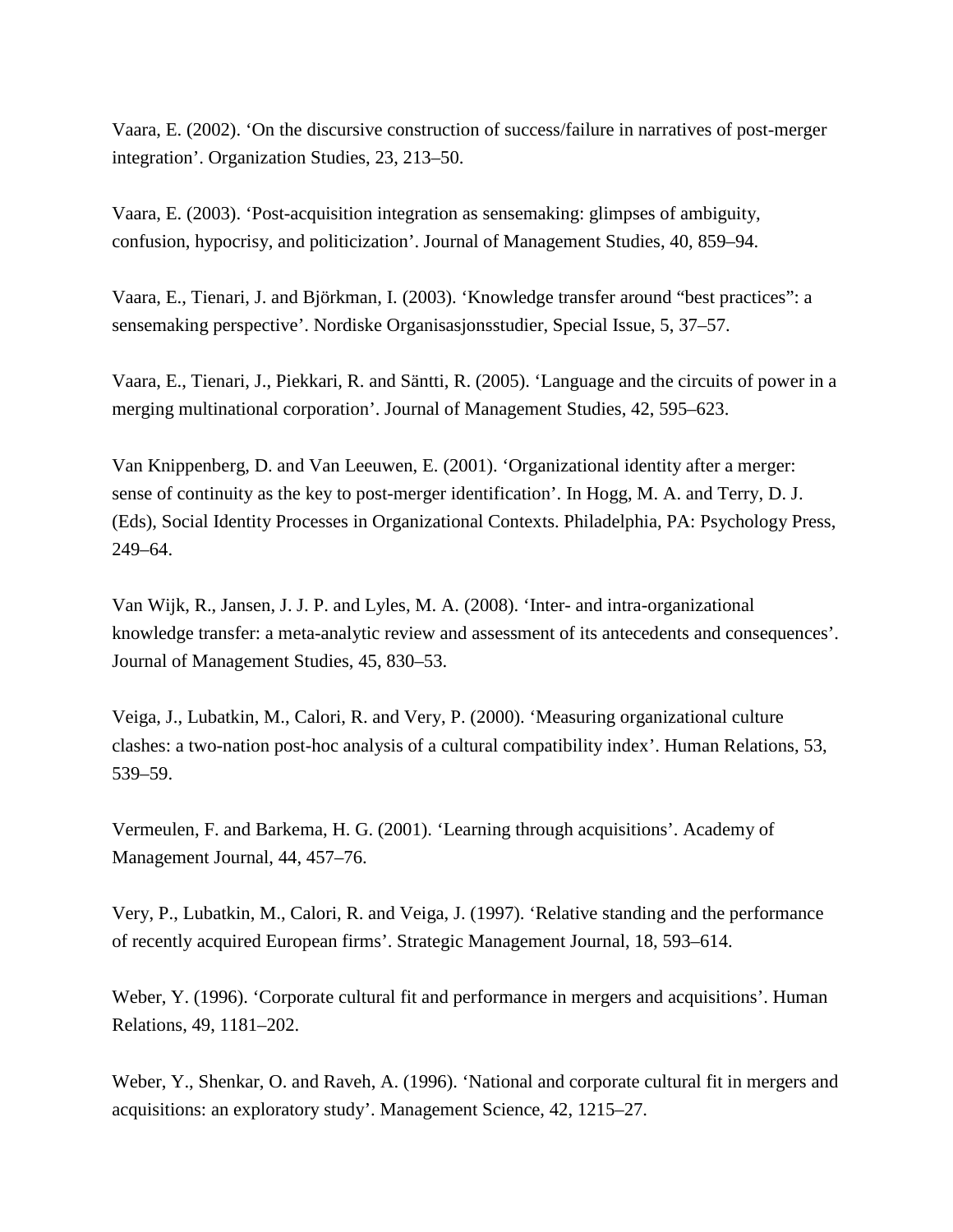Vaara, E. (2002). 'On the discursive construction of success/failure in narratives of post-merger integration'. Organization Studies, 23, 213–50.

Vaara, E. (2003). 'Post-acquisition integration as sensemaking: glimpses of ambiguity, confusion, hypocrisy, and politicization'. Journal of Management Studies, 40, 859–94.

Vaara, E., Tienari, J. and Björkman, I. (2003). 'Knowledge transfer around "best practices": a sensemaking perspective'. Nordiske Organisasjonsstudier, Special Issue, 5, 37–57.

Vaara, E., Tienari, J., Piekkari, R. and Säntti, R. (2005). 'Language and the circuits of power in a merging multinational corporation'. Journal of Management Studies, 42, 595–623.

Van Knippenberg, D. and Van Leeuwen, E. (2001). 'Organizational identity after a merger: sense of continuity as the key to post-merger identification'. In Hogg, M. A. and Terry, D. J. (Eds), Social Identity Processes in Organizational Contexts. Philadelphia, PA: Psychology Press, 249–64.

Van Wijk, R., Jansen, J. J. P. and Lyles, M. A. (2008). 'Inter- and intra-organizational knowledge transfer: a meta-analytic review and assessment of its antecedents and consequences'. Journal of Management Studies, 45, 830–53.

Veiga, J., Lubatkin, M., Calori, R. and Very, P. (2000). 'Measuring organizational culture clashes: a two-nation post-hoc analysis of a cultural compatibility index'. Human Relations, 53, 539–59.

Vermeulen, F. and Barkema, H. G. (2001). 'Learning through acquisitions'. Academy of Management Journal, 44, 457–76.

Very, P., Lubatkin, M., Calori, R. and Veiga, J. (1997). 'Relative standing and the performance of recently acquired European firms'. Strategic Management Journal, 18, 593–614.

Weber, Y. (1996). 'Corporate cultural fit and performance in mergers and acquisitions'. Human Relations, 49, 1181–202.

Weber, Y., Shenkar, O. and Raveh, A. (1996). 'National and corporate cultural fit in mergers and acquisitions: an exploratory study'. Management Science, 42, 1215–27.